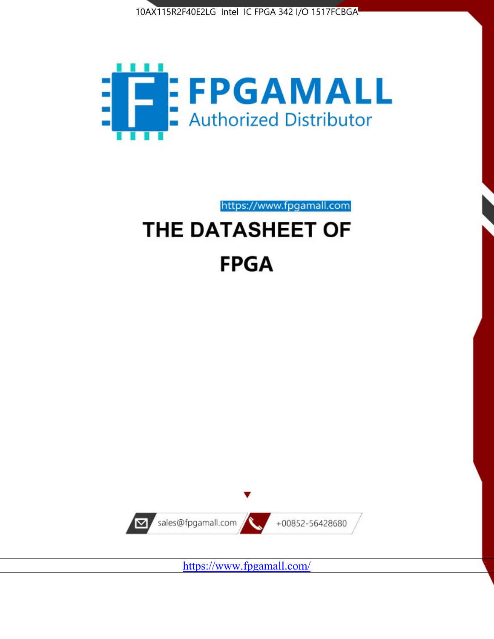



https://www.fpgamall.com THE DATASHEET OF

# **FPGA**



<https://www.fpgamall.com/>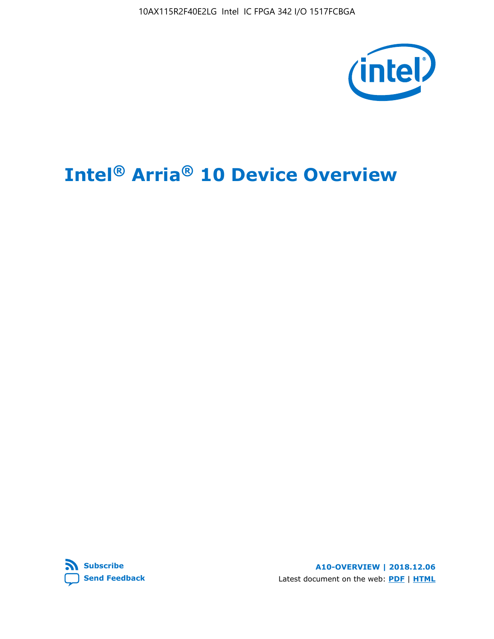10AX115R2F40E2LG Intel IC FPGA 342 I/O 1517FCBGA



# **Intel® Arria® 10 Device Overview**



**A10-OVERVIEW | 2018.12.06** Latest document on the web: **[PDF](https://www.intel.com/content/dam/www/programmable/us/en/pdfs/literature/hb/arria-10/a10_overview.pdf)** | **[HTML](https://www.intel.com/content/www/us/en/programmable/documentation/sam1403480274650.html)**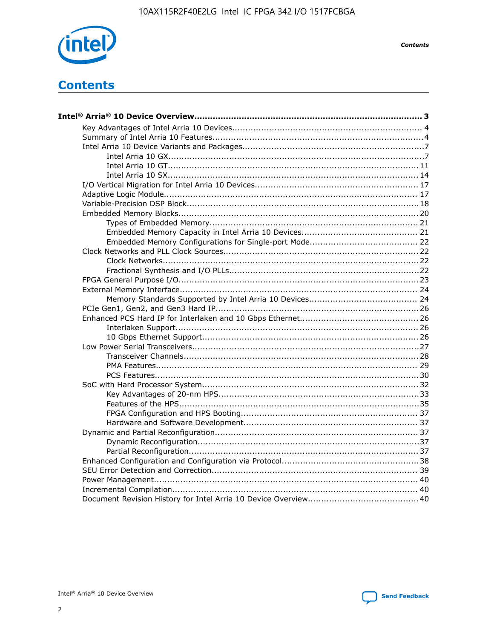

**Contents** 

# **Contents**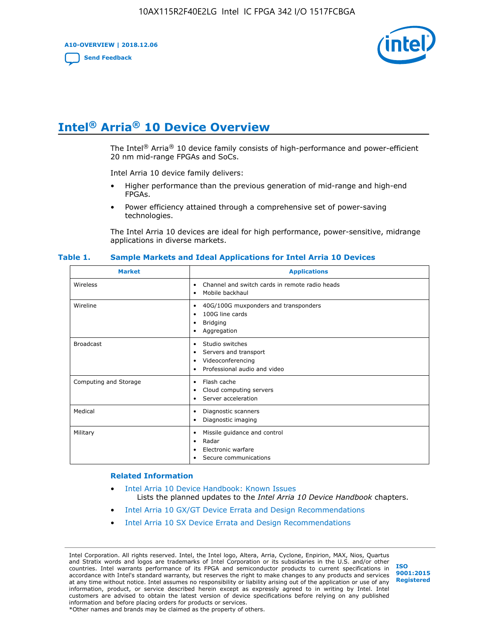**A10-OVERVIEW | 2018.12.06**

**[Send Feedback](mailto:FPGAtechdocfeedback@intel.com?subject=Feedback%20on%20Intel%20Arria%2010%20Device%20Overview%20(A10-OVERVIEW%202018.12.06)&body=We%20appreciate%20your%20feedback.%20In%20your%20comments,%20also%20specify%20the%20page%20number%20or%20paragraph.%20Thank%20you.)**



# **Intel® Arria® 10 Device Overview**

The Intel<sup>®</sup> Arria<sup>®</sup> 10 device family consists of high-performance and power-efficient 20 nm mid-range FPGAs and SoCs.

Intel Arria 10 device family delivers:

- Higher performance than the previous generation of mid-range and high-end FPGAs.
- Power efficiency attained through a comprehensive set of power-saving technologies.

The Intel Arria 10 devices are ideal for high performance, power-sensitive, midrange applications in diverse markets.

| <b>Market</b>         | <b>Applications</b>                                                                                               |
|-----------------------|-------------------------------------------------------------------------------------------------------------------|
| Wireless              | Channel and switch cards in remote radio heads<br>٠<br>Mobile backhaul<br>٠                                       |
| Wireline              | 40G/100G muxponders and transponders<br>٠<br>100G line cards<br>٠<br><b>Bridging</b><br>٠<br>Aggregation<br>٠     |
| <b>Broadcast</b>      | Studio switches<br>٠<br>Servers and transport<br>٠<br>Videoconferencing<br>٠<br>Professional audio and video<br>٠ |
| Computing and Storage | Flash cache<br>٠<br>Cloud computing servers<br>٠<br>Server acceleration<br>٠                                      |
| Medical               | Diagnostic scanners<br>٠<br>Diagnostic imaging<br>٠                                                               |
| Military              | Missile guidance and control<br>٠<br>Radar<br>٠<br>Electronic warfare<br>٠<br>Secure communications<br>٠          |

#### **Table 1. Sample Markets and Ideal Applications for Intel Arria 10 Devices**

#### **Related Information**

- [Intel Arria 10 Device Handbook: Known Issues](http://www.altera.com/support/kdb/solutions/rd07302013_646.html) Lists the planned updates to the *Intel Arria 10 Device Handbook* chapters.
- [Intel Arria 10 GX/GT Device Errata and Design Recommendations](https://www.intel.com/content/www/us/en/programmable/documentation/agz1493851706374.html#yqz1494433888646)
- [Intel Arria 10 SX Device Errata and Design Recommendations](https://www.intel.com/content/www/us/en/programmable/documentation/cru1462832385668.html#cru1462832558642)

Intel Corporation. All rights reserved. Intel, the Intel logo, Altera, Arria, Cyclone, Enpirion, MAX, Nios, Quartus and Stratix words and logos are trademarks of Intel Corporation or its subsidiaries in the U.S. and/or other countries. Intel warrants performance of its FPGA and semiconductor products to current specifications in accordance with Intel's standard warranty, but reserves the right to make changes to any products and services at any time without notice. Intel assumes no responsibility or liability arising out of the application or use of any information, product, or service described herein except as expressly agreed to in writing by Intel. Intel customers are advised to obtain the latest version of device specifications before relying on any published information and before placing orders for products or services. \*Other names and brands may be claimed as the property of others.

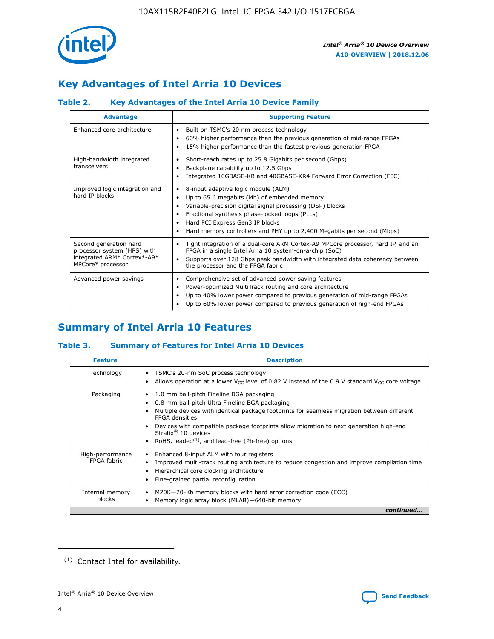

# **Key Advantages of Intel Arria 10 Devices**

## **Table 2. Key Advantages of the Intel Arria 10 Device Family**

| <b>Advantage</b>                                                                                          | <b>Supporting Feature</b>                                                                                                                                                                                                                                                                                                |
|-----------------------------------------------------------------------------------------------------------|--------------------------------------------------------------------------------------------------------------------------------------------------------------------------------------------------------------------------------------------------------------------------------------------------------------------------|
| Enhanced core architecture                                                                                | Built on TSMC's 20 nm process technology<br>٠<br>60% higher performance than the previous generation of mid-range FPGAs<br>٠<br>15% higher performance than the fastest previous-generation FPGA<br>٠                                                                                                                    |
| High-bandwidth integrated<br>transceivers                                                                 | Short-reach rates up to 25.8 Gigabits per second (Gbps)<br>٠<br>Backplane capability up to 12.5 Gbps<br>٠<br>Integrated 10GBASE-KR and 40GBASE-KR4 Forward Error Correction (FEC)<br>٠                                                                                                                                   |
| Improved logic integration and<br>hard IP blocks                                                          | 8-input adaptive logic module (ALM)<br>٠<br>Up to 65.6 megabits (Mb) of embedded memory<br>٠<br>Variable-precision digital signal processing (DSP) blocks<br>Fractional synthesis phase-locked loops (PLLs)<br>Hard PCI Express Gen3 IP blocks<br>Hard memory controllers and PHY up to 2,400 Megabits per second (Mbps) |
| Second generation hard<br>processor system (HPS) with<br>integrated ARM* Cortex*-A9*<br>MPCore* processor | Tight integration of a dual-core ARM Cortex-A9 MPCore processor, hard IP, and an<br>٠<br>FPGA in a single Intel Arria 10 system-on-a-chip (SoC)<br>Supports over 128 Gbps peak bandwidth with integrated data coherency between<br>$\bullet$<br>the processor and the FPGA fabric                                        |
| Advanced power savings                                                                                    | Comprehensive set of advanced power saving features<br>٠<br>Power-optimized MultiTrack routing and core architecture<br>٠<br>Up to 40% lower power compared to previous generation of mid-range FPGAs<br>Up to 60% lower power compared to previous generation of high-end FPGAs                                         |

# **Summary of Intel Arria 10 Features**

## **Table 3. Summary of Features for Intel Arria 10 Devices**

| <b>Feature</b>                  | <b>Description</b>                                                                                                                                                                                                                                                                                                                                                                                           |
|---------------------------------|--------------------------------------------------------------------------------------------------------------------------------------------------------------------------------------------------------------------------------------------------------------------------------------------------------------------------------------------------------------------------------------------------------------|
| Technology                      | TSMC's 20-nm SoC process technology<br>Allows operation at a lower $V_{\text{CC}}$ level of 0.82 V instead of the 0.9 V standard $V_{\text{CC}}$ core voltage                                                                                                                                                                                                                                                |
| Packaging                       | 1.0 mm ball-pitch Fineline BGA packaging<br>٠<br>0.8 mm ball-pitch Ultra Fineline BGA packaging<br>Multiple devices with identical package footprints for seamless migration between different<br><b>FPGA</b> densities<br>Devices with compatible package footprints allow migration to next generation high-end<br>Stratix <sup>®</sup> 10 devices<br>RoHS, leaded $(1)$ , and lead-free (Pb-free) options |
| High-performance<br>FPGA fabric | Enhanced 8-input ALM with four registers<br>Improved multi-track routing architecture to reduce congestion and improve compilation time<br>Hierarchical core clocking architecture<br>Fine-grained partial reconfiguration                                                                                                                                                                                   |
| Internal memory<br>blocks       | M20K-20-Kb memory blocks with hard error correction code (ECC)<br>Memory logic array block (MLAB)-640-bit memory                                                                                                                                                                                                                                                                                             |
|                                 | continued                                                                                                                                                                                                                                                                                                                                                                                                    |



<sup>(1)</sup> Contact Intel for availability.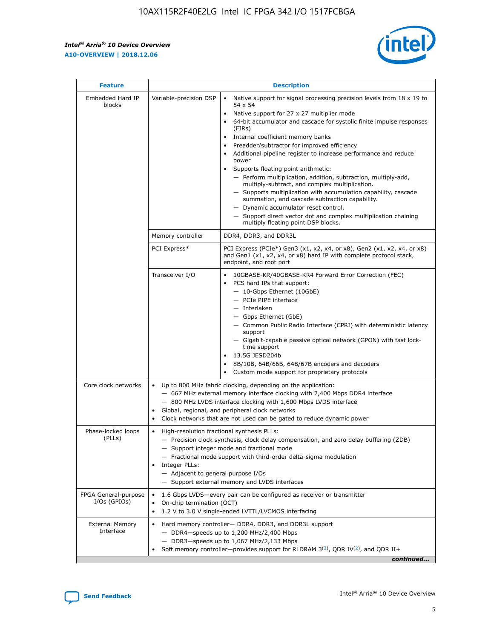$\mathbf{r}$ 



| <b>Feature</b>                         | <b>Description</b>                                                                                             |                                                                                                                                                                                                                                                                                                                                                                                                                                                                                                                                                                                                                                                                                                                                                                                                                                                                  |  |  |  |  |  |  |
|----------------------------------------|----------------------------------------------------------------------------------------------------------------|------------------------------------------------------------------------------------------------------------------------------------------------------------------------------------------------------------------------------------------------------------------------------------------------------------------------------------------------------------------------------------------------------------------------------------------------------------------------------------------------------------------------------------------------------------------------------------------------------------------------------------------------------------------------------------------------------------------------------------------------------------------------------------------------------------------------------------------------------------------|--|--|--|--|--|--|
| Embedded Hard IP<br>blocks             | Variable-precision DSP                                                                                         | Native support for signal processing precision levels from $18 \times 19$ to<br>$\bullet$<br>54 x 54<br>Native support for 27 x 27 multiplier mode<br>$\bullet$<br>64-bit accumulator and cascade for systolic finite impulse responses<br>(FIRs)<br>Internal coefficient memory banks<br>$\bullet$<br>Preadder/subtractor for improved efficiency<br>Additional pipeline register to increase performance and reduce<br>power<br>Supports floating point arithmetic:<br>- Perform multiplication, addition, subtraction, multiply-add,<br>multiply-subtract, and complex multiplication.<br>- Supports multiplication with accumulation capability, cascade<br>summation, and cascade subtraction capability.<br>- Dynamic accumulator reset control.<br>- Support direct vector dot and complex multiplication chaining<br>multiply floating point DSP blocks. |  |  |  |  |  |  |
|                                        | Memory controller                                                                                              | DDR4, DDR3, and DDR3L                                                                                                                                                                                                                                                                                                                                                                                                                                                                                                                                                                                                                                                                                                                                                                                                                                            |  |  |  |  |  |  |
|                                        | PCI Express*                                                                                                   | PCI Express (PCIe*) Gen3 (x1, x2, x4, or x8), Gen2 (x1, x2, x4, or x8)<br>and Gen1 (x1, x2, x4, or x8) hard IP with complete protocol stack,<br>endpoint, and root port                                                                                                                                                                                                                                                                                                                                                                                                                                                                                                                                                                                                                                                                                          |  |  |  |  |  |  |
|                                        | Transceiver I/O                                                                                                | 10GBASE-KR/40GBASE-KR4 Forward Error Correction (FEC)<br>PCS hard IPs that support:<br>- 10-Gbps Ethernet (10GbE)<br>- PCIe PIPE interface<br>- Interlaken<br>- Gbps Ethernet (GbE)<br>- Common Public Radio Interface (CPRI) with deterministic latency<br>support<br>- Gigabit-capable passive optical network (GPON) with fast lock-<br>time support<br>13.5G JESD204b<br>$\bullet$<br>8B/10B, 64B/66B, 64B/67B encoders and decoders<br>Custom mode support for proprietary protocols                                                                                                                                                                                                                                                                                                                                                                        |  |  |  |  |  |  |
| Core clock networks                    | $\bullet$                                                                                                      | Up to 800 MHz fabric clocking, depending on the application:<br>- 667 MHz external memory interface clocking with 2,400 Mbps DDR4 interface<br>- 800 MHz LVDS interface clocking with 1,600 Mbps LVDS interface<br>Global, regional, and peripheral clock networks<br>Clock networks that are not used can be gated to reduce dynamic power                                                                                                                                                                                                                                                                                                                                                                                                                                                                                                                      |  |  |  |  |  |  |
| Phase-locked loops<br>(PLLs)           | High-resolution fractional synthesis PLLs:<br>$\bullet$<br>Integer PLLs:<br>- Adjacent to general purpose I/Os | - Precision clock synthesis, clock delay compensation, and zero delay buffering (ZDB)<br>- Support integer mode and fractional mode<br>- Fractional mode support with third-order delta-sigma modulation<br>- Support external memory and LVDS interfaces                                                                                                                                                                                                                                                                                                                                                                                                                                                                                                                                                                                                        |  |  |  |  |  |  |
| FPGA General-purpose<br>$I/Os$ (GPIOs) | On-chip termination (OCT)<br>$\bullet$                                                                         | 1.6 Gbps LVDS-every pair can be configured as receiver or transmitter                                                                                                                                                                                                                                                                                                                                                                                                                                                                                                                                                                                                                                                                                                                                                                                            |  |  |  |  |  |  |
| <b>External Memory</b><br>Interface    | $\bullet$                                                                                                      | 1.2 V to 3.0 V single-ended LVTTL/LVCMOS interfacing<br>Hard memory controller- DDR4, DDR3, and DDR3L support<br>$-$ DDR4-speeds up to 1,200 MHz/2,400 Mbps<br>- DDR3-speeds up to 1,067 MHz/2,133 Mbps<br>Soft memory controller—provides support for RLDRAM $3^{(2)}$ , QDR IV $^{(2)}$ , and QDR II+<br>continued                                                                                                                                                                                                                                                                                                                                                                                                                                                                                                                                             |  |  |  |  |  |  |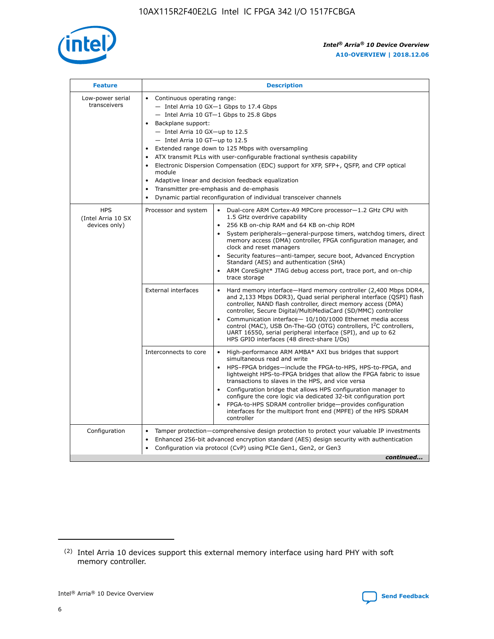

| <b>Feature</b>                                    | <b>Description</b>                                                                                                                                                                                                                                                                                                                                                                                                                                                                                                                                                                                                                             |  |  |  |  |  |  |  |  |
|---------------------------------------------------|------------------------------------------------------------------------------------------------------------------------------------------------------------------------------------------------------------------------------------------------------------------------------------------------------------------------------------------------------------------------------------------------------------------------------------------------------------------------------------------------------------------------------------------------------------------------------------------------------------------------------------------------|--|--|--|--|--|--|--|--|
| Low-power serial<br>transceivers                  | • Continuous operating range:<br>- Intel Arria 10 GX-1 Gbps to 17.4 Gbps<br>- Intel Arria 10 GT-1 Gbps to 25.8 Gbps<br>Backplane support:<br>$-$ Intel Arria 10 GX-up to 12.5<br>$-$ Intel Arria 10 GT-up to 12.5<br>Extended range down to 125 Mbps with oversampling<br>ATX transmit PLLs with user-configurable fractional synthesis capability<br>• Electronic Dispersion Compensation (EDC) support for XFP, SFP+, QSFP, and CFP optical<br>module<br>• Adaptive linear and decision feedback equalization<br>Transmitter pre-emphasis and de-emphasis<br>$\bullet$<br>Dynamic partial reconfiguration of individual transceiver channels |  |  |  |  |  |  |  |  |
| <b>HPS</b><br>(Intel Arria 10 SX<br>devices only) | Processor and system<br>Dual-core ARM Cortex-A9 MPCore processor-1.2 GHz CPU with<br>$\bullet$<br>1.5 GHz overdrive capability<br>256 KB on-chip RAM and 64 KB on-chip ROM<br>$\bullet$<br>System peripherals-general-purpose timers, watchdog timers, direct<br>memory access (DMA) controller, FPGA configuration manager, and<br>clock and reset managers<br>• Security features—anti-tamper, secure boot, Advanced Encryption<br>Standard (AES) and authentication (SHA)<br>ARM CoreSight* JTAG debug access port, trace port, and on-chip<br>trace storage                                                                                |  |  |  |  |  |  |  |  |
|                                                   | <b>External interfaces</b><br>Hard memory interface—Hard memory controller (2,400 Mbps DDR4,<br>$\bullet$<br>and 2,133 Mbps DDR3), Quad serial peripheral interface (QSPI) flash<br>controller, NAND flash controller, direct memory access (DMA)<br>controller, Secure Digital/MultiMediaCard (SD/MMC) controller<br>Communication interface-10/100/1000 Ethernet media access<br>control (MAC), USB On-The-GO (OTG) controllers, I <sup>2</sup> C controllers,<br>UART 16550, serial peripheral interface (SPI), and up to 62<br>HPS GPIO interfaces (48 direct-share I/Os)                                                                  |  |  |  |  |  |  |  |  |
|                                                   | High-performance ARM AMBA* AXI bus bridges that support<br>Interconnects to core<br>$\bullet$<br>simultaneous read and write<br>HPS-FPGA bridges—include the FPGA-to-HPS, HPS-to-FPGA, and<br>$\bullet$<br>lightweight HPS-to-FPGA bridges that allow the FPGA fabric to issue<br>transactions to slaves in the HPS, and vice versa<br>Configuration bridge that allows HPS configuration manager to<br>configure the core logic via dedicated 32-bit configuration port<br>FPGA-to-HPS SDRAM controller bridge-provides configuration<br>interfaces for the multiport front end (MPFE) of the HPS SDRAM<br>controller                         |  |  |  |  |  |  |  |  |
| Configuration                                     | Tamper protection—comprehensive design protection to protect your valuable IP investments<br>Enhanced 256-bit advanced encryption standard (AES) design security with authentication<br>$\bullet$<br>Configuration via protocol (CvP) using PCIe Gen1, Gen2, or Gen3<br>continued                                                                                                                                                                                                                                                                                                                                                              |  |  |  |  |  |  |  |  |

<sup>(2)</sup> Intel Arria 10 devices support this external memory interface using hard PHY with soft memory controller.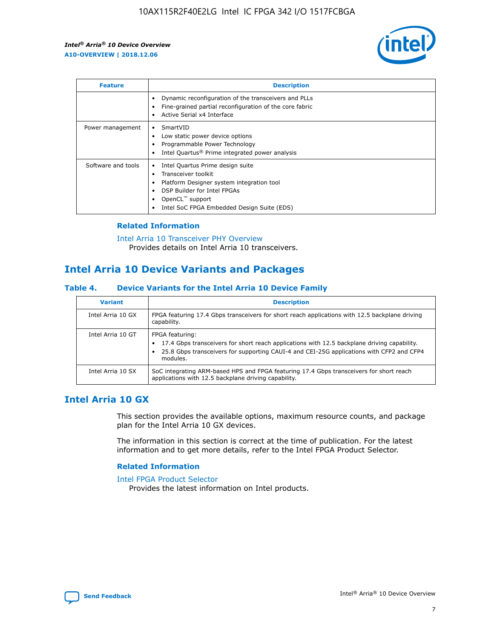

| <b>Feature</b>     | <b>Description</b>                                                                                                                                                                                               |
|--------------------|------------------------------------------------------------------------------------------------------------------------------------------------------------------------------------------------------------------|
|                    | Dynamic reconfiguration of the transceivers and PLLs<br>Fine-grained partial reconfiguration of the core fabric<br>Active Serial x4 Interface<br>$\bullet$                                                       |
| Power management   | SmartVID<br>Low static power device options<br>Programmable Power Technology<br>Intel Quartus <sup>®</sup> Prime integrated power analysis                                                                       |
| Software and tools | Intel Quartus Prime design suite<br>Transceiver toolkit<br>Platform Designer system integration tool<br>DSP Builder for Intel FPGAs<br>OpenCL <sup>™</sup> support<br>Intel SoC FPGA Embedded Design Suite (EDS) |

## **Related Information**

[Intel Arria 10 Transceiver PHY Overview](https://www.intel.com/content/www/us/en/programmable/documentation/nik1398707230472.html#nik1398706768037) Provides details on Intel Arria 10 transceivers.

# **Intel Arria 10 Device Variants and Packages**

#### **Table 4. Device Variants for the Intel Arria 10 Device Family**

| <b>Variant</b>    | <b>Description</b>                                                                                                                                                                                                     |
|-------------------|------------------------------------------------------------------------------------------------------------------------------------------------------------------------------------------------------------------------|
| Intel Arria 10 GX | FPGA featuring 17.4 Gbps transceivers for short reach applications with 12.5 backplane driving<br>capability.                                                                                                          |
| Intel Arria 10 GT | FPGA featuring:<br>17.4 Gbps transceivers for short reach applications with 12.5 backplane driving capability.<br>25.8 Gbps transceivers for supporting CAUI-4 and CEI-25G applications with CFP2 and CFP4<br>modules. |
| Intel Arria 10 SX | SoC integrating ARM-based HPS and FPGA featuring 17.4 Gbps transceivers for short reach<br>applications with 12.5 backplane driving capability.                                                                        |

# **Intel Arria 10 GX**

This section provides the available options, maximum resource counts, and package plan for the Intel Arria 10 GX devices.

The information in this section is correct at the time of publication. For the latest information and to get more details, refer to the Intel FPGA Product Selector.

#### **Related Information**

#### [Intel FPGA Product Selector](http://www.altera.com/products/selector/psg-selector.html) Provides the latest information on Intel products.

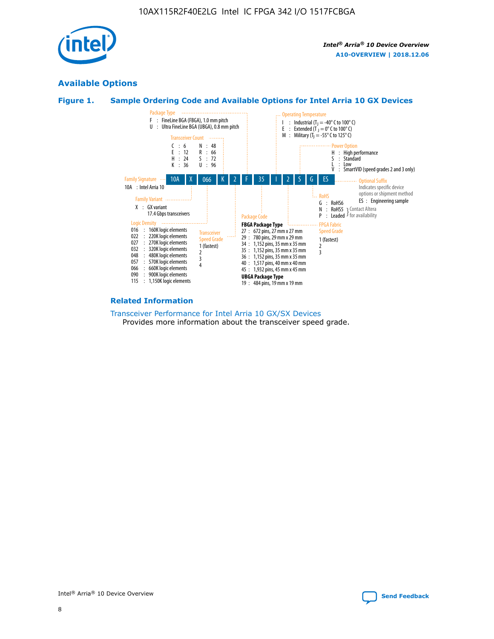

# **Available Options**





#### **Related Information**

[Transceiver Performance for Intel Arria 10 GX/SX Devices](https://www.intel.com/content/www/us/en/programmable/documentation/mcn1413182292568.html#mcn1413213965502) Provides more information about the transceiver speed grade.

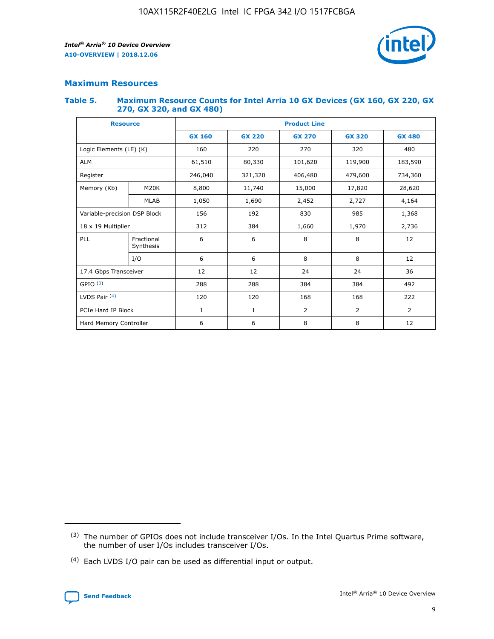

## **Maximum Resources**

#### **Table 5. Maximum Resource Counts for Intel Arria 10 GX Devices (GX 160, GX 220, GX 270, GX 320, and GX 480)**

| <b>Resource</b>              |                         | <b>Product Line</b> |                                |                |                |                |  |  |  |
|------------------------------|-------------------------|---------------------|--------------------------------|----------------|----------------|----------------|--|--|--|
|                              |                         | <b>GX 160</b>       | <b>GX 220</b><br><b>GX 270</b> |                | <b>GX 320</b>  | <b>GX 480</b>  |  |  |  |
| Logic Elements (LE) (K)      |                         | 160                 | 220                            | 270            | 320            | 480            |  |  |  |
| <b>ALM</b>                   |                         | 61,510              | 80,330                         | 101,620        | 119,900        | 183,590        |  |  |  |
| Register                     |                         | 246,040             | 406,480<br>321,320             |                | 479,600        | 734,360        |  |  |  |
| Memory (Kb)                  | M <sub>20</sub> K       | 8,800               | 11,740                         | 15,000         | 17,820         | 28,620         |  |  |  |
|                              | <b>MLAB</b>             | 1,050               | 1,690<br>2,452                 |                | 2,727          | 4,164          |  |  |  |
| Variable-precision DSP Block |                         | 156                 | 192                            | 830            | 985            | 1,368          |  |  |  |
| 18 x 19 Multiplier           |                         | 312                 | 384                            | 1,970<br>1,660 |                | 2,736          |  |  |  |
| PLL                          | Fractional<br>Synthesis | 6                   | 6                              | 8              | 8              | 12             |  |  |  |
|                              | I/O                     | 6                   | 6                              | 8              | 8              | 12             |  |  |  |
| 17.4 Gbps Transceiver        |                         | 12                  | 12                             | 24             | 24             | 36             |  |  |  |
| GPIO <sup>(3)</sup>          |                         | 288                 | 288                            | 384            | 384            |                |  |  |  |
| LVDS Pair $(4)$              |                         | 120                 | 120                            | 168            | 168            | 222            |  |  |  |
| PCIe Hard IP Block           |                         | 1                   | 1                              | 2              | $\overline{2}$ | $\overline{2}$ |  |  |  |
| Hard Memory Controller       |                         | 6                   | 6                              | 8              | 8              |                |  |  |  |

<sup>(4)</sup> Each LVDS I/O pair can be used as differential input or output.



<sup>(3)</sup> The number of GPIOs does not include transceiver I/Os. In the Intel Quartus Prime software, the number of user I/Os includes transceiver I/Os.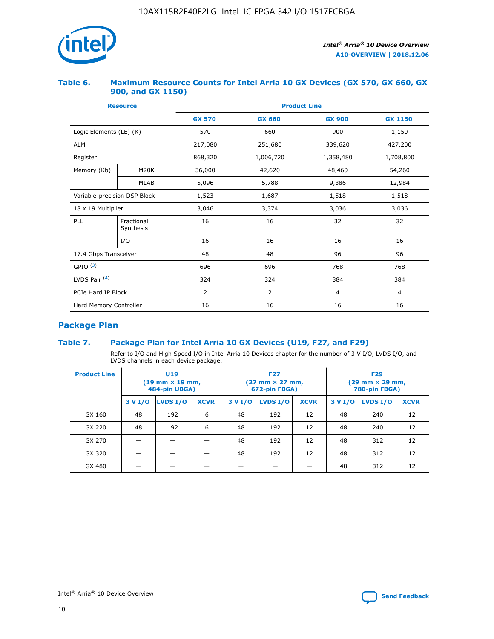

## **Table 6. Maximum Resource Counts for Intel Arria 10 GX Devices (GX 570, GX 660, GX 900, and GX 1150)**

|                              | <b>Resource</b>         | <b>Product Line</b> |                |                |                |  |  |  |
|------------------------------|-------------------------|---------------------|----------------|----------------|----------------|--|--|--|
|                              |                         | <b>GX 570</b>       | <b>GX 660</b>  | <b>GX 900</b>  | <b>GX 1150</b> |  |  |  |
| Logic Elements (LE) (K)      |                         | 570                 | 660            | 900            | 1,150          |  |  |  |
| <b>ALM</b>                   |                         | 217,080             | 251,680        | 339,620        | 427,200        |  |  |  |
| Register                     |                         | 868,320             | 1,006,720      |                | 1,708,800      |  |  |  |
| Memory (Kb)                  | <b>M20K</b>             | 36,000              | 42,620         | 48,460         | 54,260         |  |  |  |
|                              | <b>MLAB</b>             | 5,096               | 5,788          | 9,386          | 12,984         |  |  |  |
| Variable-precision DSP Block |                         | 1,523               | 1,687          | 1,518          | 1,518          |  |  |  |
| $18 \times 19$ Multiplier    |                         | 3,046               | 3,374          | 3,036          | 3,036          |  |  |  |
| PLL                          | Fractional<br>Synthesis | 16                  | 16             | 32             | 32             |  |  |  |
|                              | I/O                     | 16                  | 16             | 16             | 16             |  |  |  |
| 17.4 Gbps Transceiver        |                         | 48                  | 48<br>96       |                | 96             |  |  |  |
| GPIO <sup>(3)</sup>          |                         | 696                 | 696            | 768            | 768            |  |  |  |
| LVDS Pair $(4)$              |                         | 324                 | 324            | 384            | 384            |  |  |  |
| PCIe Hard IP Block           |                         | 2                   | $\overline{2}$ | $\overline{4}$ | $\overline{4}$ |  |  |  |
| Hard Memory Controller       |                         | 16                  | 16             | 16             | 16             |  |  |  |

# **Package Plan**

## **Table 7. Package Plan for Intel Arria 10 GX Devices (U19, F27, and F29)**

Refer to I/O and High Speed I/O in Intel Arria 10 Devices chapter for the number of 3 V I/O, LVDS I/O, and LVDS channels in each device package.

| <b>Product Line</b> | <b>U19</b><br>$(19 \text{ mm} \times 19 \text{ mm})$<br>484-pin UBGA) |          |             |         | <b>F27</b><br>(27 mm × 27 mm,<br>672-pin FBGA) |             | <b>F29</b><br>(29 mm × 29 mm,<br>780-pin FBGA) |          |             |  |
|---------------------|-----------------------------------------------------------------------|----------|-------------|---------|------------------------------------------------|-------------|------------------------------------------------|----------|-------------|--|
|                     | 3 V I/O                                                               | LVDS I/O | <b>XCVR</b> | 3 V I/O | <b>LVDS I/O</b>                                | <b>XCVR</b> | 3 V I/O                                        | LVDS I/O | <b>XCVR</b> |  |
| GX 160              | 48                                                                    | 192      | 6           | 48      | 192                                            | 12          | 48                                             | 240      | 12          |  |
| GX 220              | 48                                                                    | 192      | 6           | 48      | 192                                            | 12          | 48                                             | 240      | 12          |  |
| GX 270              |                                                                       |          |             | 48      | 192                                            | 12          | 48                                             | 312      | 12          |  |
| GX 320              |                                                                       |          |             | 48      | 192                                            | 12          | 48                                             | 312      | 12          |  |
| GX 480              |                                                                       |          |             |         |                                                |             | 48                                             | 312      | 12          |  |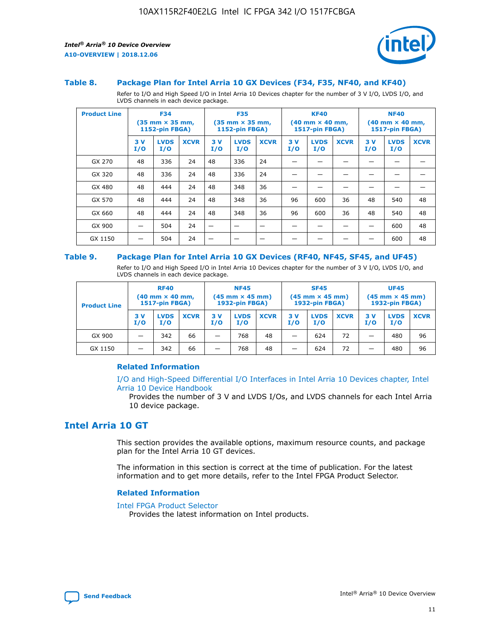

#### **Table 8. Package Plan for Intel Arria 10 GX Devices (F34, F35, NF40, and KF40)**

Refer to I/O and High Speed I/O in Intel Arria 10 Devices chapter for the number of 3 V I/O, LVDS I/O, and LVDS channels in each device package.

| <b>Product Line</b> | <b>F34</b><br>$(35 \text{ mm} \times 35 \text{ mm})$<br>1152-pin FBGA) |                    | <b>F35</b><br>$(35 \text{ mm} \times 35 \text{ mm})$<br><b>1152-pin FBGA)</b> |           | <b>KF40</b><br>$(40$ mm $\times$ 40 mm,<br>1517-pin FBGA) |             |           | <b>NF40</b><br>$(40$ mm $\times$ 40 mm,<br><b>1517-pin FBGA)</b> |             |            |                    |             |
|---------------------|------------------------------------------------------------------------|--------------------|-------------------------------------------------------------------------------|-----------|-----------------------------------------------------------|-------------|-----------|------------------------------------------------------------------|-------------|------------|--------------------|-------------|
|                     | 3V<br>I/O                                                              | <b>LVDS</b><br>I/O | <b>XCVR</b>                                                                   | 3V<br>I/O | <b>LVDS</b><br>I/O                                        | <b>XCVR</b> | 3V<br>I/O | <b>LVDS</b><br>I/O                                               | <b>XCVR</b> | 3 V<br>I/O | <b>LVDS</b><br>I/O | <b>XCVR</b> |
| GX 270              | 48                                                                     | 336                | 24                                                                            | 48        | 336                                                       | 24          |           |                                                                  |             |            |                    |             |
| GX 320              | 48                                                                     | 336                | 24                                                                            | 48        | 336                                                       | 24          |           |                                                                  |             |            |                    |             |
| GX 480              | 48                                                                     | 444                | 24                                                                            | 48        | 348                                                       | 36          |           |                                                                  |             |            |                    |             |
| GX 570              | 48                                                                     | 444                | 24                                                                            | 48        | 348                                                       | 36          | 96        | 600                                                              | 36          | 48         | 540                | 48          |
| GX 660              | 48                                                                     | 444                | 24                                                                            | 48        | 348                                                       | 36          | 96        | 600                                                              | 36          | 48         | 540                | 48          |
| GX 900              |                                                                        | 504                | 24                                                                            | -         |                                                           |             |           |                                                                  |             |            | 600                | 48          |
| GX 1150             |                                                                        | 504                | 24                                                                            |           |                                                           |             |           |                                                                  |             |            | 600                | 48          |

#### **Table 9. Package Plan for Intel Arria 10 GX Devices (RF40, NF45, SF45, and UF45)**

Refer to I/O and High Speed I/O in Intel Arria 10 Devices chapter for the number of 3 V I/O, LVDS I/O, and LVDS channels in each device package.

| <b>Product Line</b> | <b>RF40</b><br>$(40$ mm $\times$ 40 mm,<br>1517-pin FBGA) |                    |             | <b>NF45</b><br>$(45 \text{ mm} \times 45 \text{ mm})$<br><b>1932-pin FBGA)</b> |                    |             | <b>SF45</b><br>$(45 \text{ mm} \times 45 \text{ mm})$<br><b>1932-pin FBGA)</b> |                    |             | <b>UF45</b><br>$(45 \text{ mm} \times 45 \text{ mm})$<br><b>1932-pin FBGA)</b> |                    |             |
|---------------------|-----------------------------------------------------------|--------------------|-------------|--------------------------------------------------------------------------------|--------------------|-------------|--------------------------------------------------------------------------------|--------------------|-------------|--------------------------------------------------------------------------------|--------------------|-------------|
|                     | 3V<br>I/O                                                 | <b>LVDS</b><br>I/O | <b>XCVR</b> | 3 V<br>I/O                                                                     | <b>LVDS</b><br>I/O | <b>XCVR</b> | 3 V<br>I/O                                                                     | <b>LVDS</b><br>I/O | <b>XCVR</b> | 3V<br>I/O                                                                      | <b>LVDS</b><br>I/O | <b>XCVR</b> |
| GX 900              |                                                           | 342                | 66          | _                                                                              | 768                | 48          |                                                                                | 624                | 72          |                                                                                | 480                | 96          |
| GX 1150             |                                                           | 342                | 66          | _                                                                              | 768                | 48          |                                                                                | 624                | 72          |                                                                                | 480                | 96          |

#### **Related Information**

[I/O and High-Speed Differential I/O Interfaces in Intel Arria 10 Devices chapter, Intel](https://www.intel.com/content/www/us/en/programmable/documentation/sam1403482614086.html#sam1403482030321) [Arria 10 Device Handbook](https://www.intel.com/content/www/us/en/programmable/documentation/sam1403482614086.html#sam1403482030321)

Provides the number of 3 V and LVDS I/Os, and LVDS channels for each Intel Arria 10 device package.

# **Intel Arria 10 GT**

This section provides the available options, maximum resource counts, and package plan for the Intel Arria 10 GT devices.

The information in this section is correct at the time of publication. For the latest information and to get more details, refer to the Intel FPGA Product Selector.

#### **Related Information**

#### [Intel FPGA Product Selector](http://www.altera.com/products/selector/psg-selector.html)

Provides the latest information on Intel products.

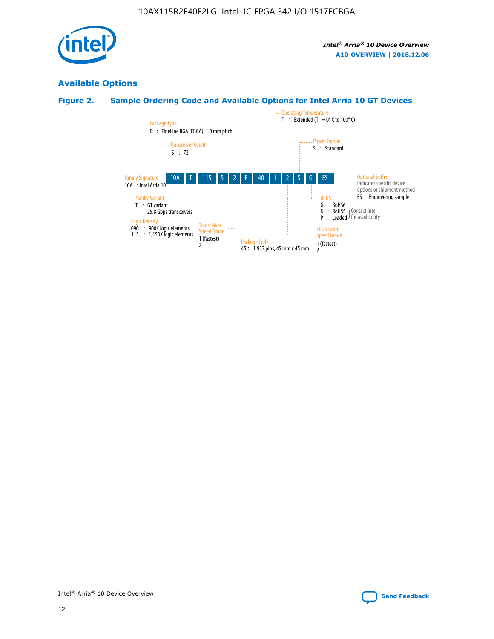

# **Available Options**

# **Figure 2. Sample Ordering Code and Available Options for Intel Arria 10 GT Devices**

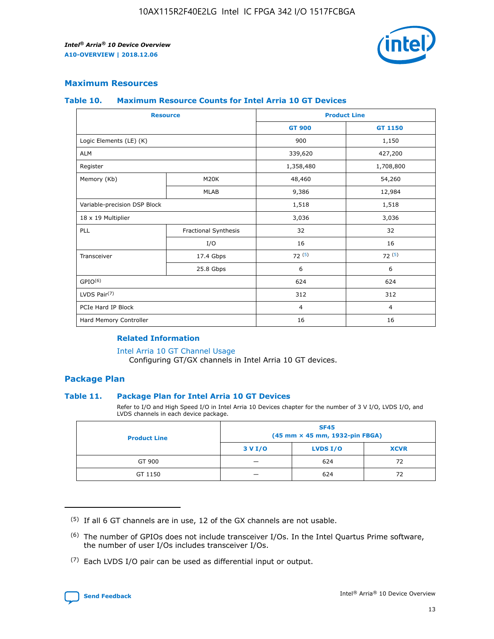

## **Maximum Resources**

#### **Table 10. Maximum Resource Counts for Intel Arria 10 GT Devices**

| <b>Resource</b>              |                      |                | <b>Product Line</b> |  |
|------------------------------|----------------------|----------------|---------------------|--|
|                              |                      | <b>GT 900</b>  | <b>GT 1150</b>      |  |
| Logic Elements (LE) (K)      |                      | 900            | 1,150               |  |
| <b>ALM</b>                   |                      | 339,620        | 427,200             |  |
| Register                     |                      | 1,358,480      | 1,708,800           |  |
| Memory (Kb)                  | M <sub>20</sub> K    | 48,460         | 54,260              |  |
|                              | <b>MLAB</b>          | 9,386          | 12,984              |  |
| Variable-precision DSP Block |                      | 1,518          | 1,518               |  |
| 18 x 19 Multiplier           |                      | 3,036          | 3,036               |  |
| PLL                          | Fractional Synthesis | 32             | 32                  |  |
|                              | I/O                  | 16             | 16                  |  |
| Transceiver                  | 17.4 Gbps            | 72(5)          | 72(5)               |  |
|                              | 25.8 Gbps            | 6              | 6                   |  |
| GPIO <sup>(6)</sup>          |                      | 624            | 624                 |  |
| LVDS Pair $(7)$              |                      | 312            | 312                 |  |
| PCIe Hard IP Block           |                      | $\overline{4}$ | $\overline{4}$      |  |
| Hard Memory Controller       |                      | 16             | 16                  |  |

#### **Related Information**

#### [Intel Arria 10 GT Channel Usage](https://www.intel.com/content/www/us/en/programmable/documentation/nik1398707230472.html#nik1398707008178)

Configuring GT/GX channels in Intel Arria 10 GT devices.

## **Package Plan**

#### **Table 11. Package Plan for Intel Arria 10 GT Devices**

Refer to I/O and High Speed I/O in Intel Arria 10 Devices chapter for the number of 3 V I/O, LVDS I/O, and LVDS channels in each device package.

| <b>Product Line</b> | <b>SF45</b><br>(45 mm × 45 mm, 1932-pin FBGA) |                 |             |  |  |  |
|---------------------|-----------------------------------------------|-----------------|-------------|--|--|--|
|                     | 3 V I/O                                       | <b>LVDS I/O</b> | <b>XCVR</b> |  |  |  |
| GT 900              |                                               | 624             | 72          |  |  |  |
| GT 1150             |                                               | 624             |             |  |  |  |

<sup>(7)</sup> Each LVDS I/O pair can be used as differential input or output.



 $(5)$  If all 6 GT channels are in use, 12 of the GX channels are not usable.

<sup>(6)</sup> The number of GPIOs does not include transceiver I/Os. In the Intel Quartus Prime software, the number of user I/Os includes transceiver I/Os.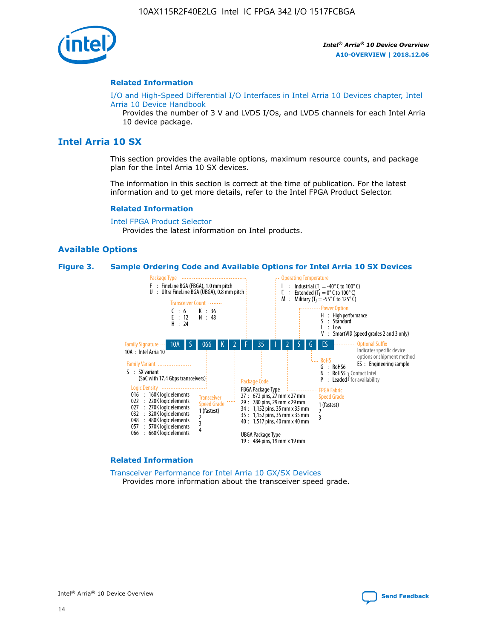

#### **Related Information**

[I/O and High-Speed Differential I/O Interfaces in Intel Arria 10 Devices chapter, Intel](https://www.intel.com/content/www/us/en/programmable/documentation/sam1403482614086.html#sam1403482030321) [Arria 10 Device Handbook](https://www.intel.com/content/www/us/en/programmable/documentation/sam1403482614086.html#sam1403482030321)

Provides the number of 3 V and LVDS I/Os, and LVDS channels for each Intel Arria 10 device package.

# **Intel Arria 10 SX**

This section provides the available options, maximum resource counts, and package plan for the Intel Arria 10 SX devices.

The information in this section is correct at the time of publication. For the latest information and to get more details, refer to the Intel FPGA Product Selector.

#### **Related Information**

[Intel FPGA Product Selector](http://www.altera.com/products/selector/psg-selector.html) Provides the latest information on Intel products.

## **Available Options**

#### **Figure 3. Sample Ordering Code and Available Options for Intel Arria 10 SX Devices**



#### **Related Information**

[Transceiver Performance for Intel Arria 10 GX/SX Devices](https://www.intel.com/content/www/us/en/programmable/documentation/mcn1413182292568.html#mcn1413213965502) Provides more information about the transceiver speed grade.

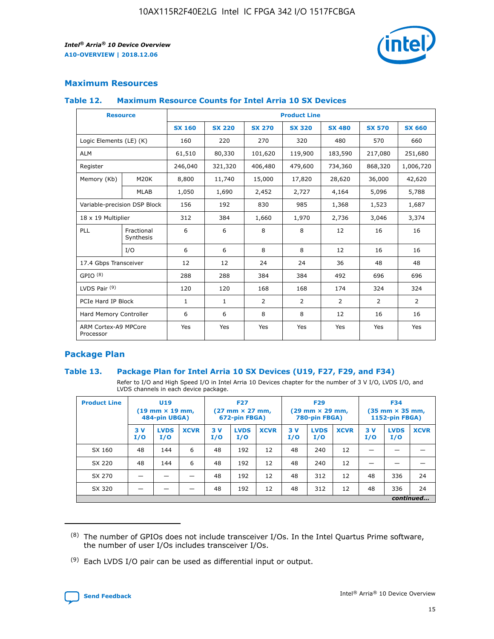

## **Maximum Resources**

#### **Table 12. Maximum Resource Counts for Intel Arria 10 SX Devices**

| <b>Resource</b>                   |                         | <b>Product Line</b> |               |                |                |                |                |                |  |  |  |
|-----------------------------------|-------------------------|---------------------|---------------|----------------|----------------|----------------|----------------|----------------|--|--|--|
|                                   |                         | <b>SX 160</b>       | <b>SX 220</b> | <b>SX 270</b>  | <b>SX 320</b>  | <b>SX 480</b>  | <b>SX 570</b>  | <b>SX 660</b>  |  |  |  |
| Logic Elements (LE) (K)           |                         | 160                 | 220           | 270            | 320            | 480            | 570            | 660            |  |  |  |
| <b>ALM</b>                        |                         | 61,510              | 80,330        | 101,620        | 119,900        | 183,590        | 217,080        | 251,680        |  |  |  |
| Register                          |                         | 246,040             | 321,320       | 406,480        | 479,600        | 734,360        | 868,320        | 1,006,720      |  |  |  |
| Memory (Kb)                       | M <sub>20</sub> K       | 8,800               | 11,740        | 15,000         | 17,820         | 28,620         | 36,000         | 42,620         |  |  |  |
|                                   | <b>MLAB</b>             | 1,050               | 1,690         | 2,452          | 2,727          | 4,164          | 5,096          | 5,788          |  |  |  |
| Variable-precision DSP Block      |                         | 156                 | 192           | 830            | 985            | 1,368          | 1,523          | 1,687          |  |  |  |
| 18 x 19 Multiplier                |                         | 312                 | 384           | 1,660          | 1,970          | 2,736          | 3,046          | 3,374          |  |  |  |
| PLL                               | Fractional<br>Synthesis | 6                   | 6             | 8              | 8              | 12             | 16             | 16             |  |  |  |
|                                   | I/O                     | 6                   | 6             | 8              | 8              | 12             | 16             | 16             |  |  |  |
| 17.4 Gbps Transceiver             |                         | 12                  | 12            | 24             | 24             | 36             | 48             | 48             |  |  |  |
| GPIO <sup>(8)</sup>               |                         | 288                 | 288           | 384            | 384            | 492            | 696            | 696            |  |  |  |
| LVDS Pair $(9)$                   |                         | 120                 | 120           | 168            | 168            | 174            | 324            | 324            |  |  |  |
| PCIe Hard IP Block                |                         | $\mathbf{1}$        | $\mathbf{1}$  | $\overline{2}$ | $\overline{2}$ | $\overline{2}$ | $\overline{2}$ | $\overline{2}$ |  |  |  |
| Hard Memory Controller            |                         | 6                   | 6             | 8              | 8              | 12             | 16             | 16             |  |  |  |
| ARM Cortex-A9 MPCore<br>Processor |                         | Yes                 | Yes           | Yes            | Yes            | Yes            | Yes            | <b>Yes</b>     |  |  |  |

## **Package Plan**

#### **Table 13. Package Plan for Intel Arria 10 SX Devices (U19, F27, F29, and F34)**

Refer to I/O and High Speed I/O in Intel Arria 10 Devices chapter for the number of 3 V I/O, LVDS I/O, and LVDS channels in each device package.

| <b>Product Line</b> | U19<br>$(19 \text{ mm} \times 19 \text{ mm})$<br>484-pin UBGA) |                    |             | <b>F27</b><br>$(27 \text{ mm} \times 27 \text{ mm})$<br>672-pin FBGA) |                    | <b>F29</b><br>$(29 \text{ mm} \times 29 \text{ mm})$<br>780-pin FBGA) |            |                    | <b>F34</b><br>$(35 \text{ mm} \times 35 \text{ mm})$<br><b>1152-pin FBGA)</b> |           |                    |             |
|---------------------|----------------------------------------------------------------|--------------------|-------------|-----------------------------------------------------------------------|--------------------|-----------------------------------------------------------------------|------------|--------------------|-------------------------------------------------------------------------------|-----------|--------------------|-------------|
|                     | 3V<br>I/O                                                      | <b>LVDS</b><br>I/O | <b>XCVR</b> | 3V<br>I/O                                                             | <b>LVDS</b><br>I/O | <b>XCVR</b>                                                           | 3 V<br>I/O | <b>LVDS</b><br>I/O | <b>XCVR</b>                                                                   | 3V<br>I/O | <b>LVDS</b><br>I/O | <b>XCVR</b> |
| SX 160              | 48                                                             | 144                | 6           | 48                                                                    | 192                | 12                                                                    | 48         | 240                | 12                                                                            | –         |                    |             |
| SX 220              | 48                                                             | 144                | 6           | 48                                                                    | 192                | 12                                                                    | 48         | 240                | 12                                                                            |           |                    |             |
| SX 270              |                                                                |                    |             | 48                                                                    | 192                | 12                                                                    | 48         | 312                | 12                                                                            | 48        | 336                | 24          |
| SX 320              |                                                                |                    |             | 48                                                                    | 192                | 12                                                                    | 48         | 312                | 12                                                                            | 48        | 336                | 24          |
|                     |                                                                |                    |             |                                                                       |                    |                                                                       |            |                    |                                                                               |           |                    | continued   |

 $(8)$  The number of GPIOs does not include transceiver I/Os. In the Intel Quartus Prime software, the number of user I/Os includes transceiver I/Os.

 $(9)$  Each LVDS I/O pair can be used as differential input or output.

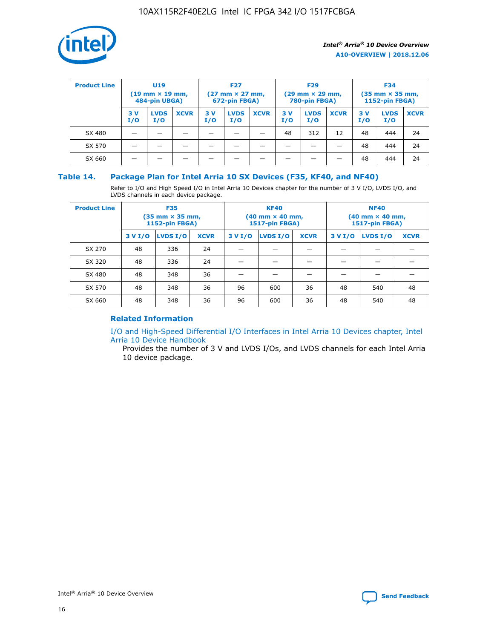

| <b>Product Line</b> | <b>U19</b><br>$(19 \text{ mm} \times 19 \text{ mm})$<br>484-pin UBGA) |                    | <b>F27</b><br>$(27 \text{ mm} \times 27 \text{ mm})$<br>672-pin FBGA) |           | <b>F29</b><br>$(29$ mm $\times$ 29 mm,<br>780-pin FBGA) |             |           | <b>F34</b><br>$(35$ mm $\times$ 35 mm,<br><b>1152-pin FBGA)</b> |             |           |                    |             |
|---------------------|-----------------------------------------------------------------------|--------------------|-----------------------------------------------------------------------|-----------|---------------------------------------------------------|-------------|-----------|-----------------------------------------------------------------|-------------|-----------|--------------------|-------------|
|                     | 3 V<br>I/O                                                            | <b>LVDS</b><br>I/O | <b>XCVR</b>                                                           | 3V<br>I/O | <b>LVDS</b><br>I/O                                      | <b>XCVR</b> | 3V<br>I/O | <b>LVDS</b><br>I/O                                              | <b>XCVR</b> | 3V<br>I/O | <b>LVDS</b><br>I/O | <b>XCVR</b> |
| SX 480              |                                                                       |                    |                                                                       |           |                                                         |             | 48        | 312                                                             | 12          | 48        | 444                | 24          |
| SX 570              |                                                                       |                    |                                                                       |           |                                                         |             |           |                                                                 |             | 48        | 444                | 24          |
| SX 660              |                                                                       |                    |                                                                       |           |                                                         |             |           |                                                                 |             | 48        | 444                | 24          |

## **Table 14. Package Plan for Intel Arria 10 SX Devices (F35, KF40, and NF40)**

Refer to I/O and High Speed I/O in Intel Arria 10 Devices chapter for the number of 3 V I/O, LVDS I/O, and LVDS channels in each device package.

| <b>Product Line</b> | <b>F35</b><br>(35 mm × 35 mm,<br><b>1152-pin FBGA)</b> |          |             |                                           | <b>KF40</b><br>(40 mm × 40 mm,<br>1517-pin FBGA) |    | <b>NF40</b><br>$(40 \text{ mm} \times 40 \text{ mm})$<br>1517-pin FBGA) |          |             |  |
|---------------------|--------------------------------------------------------|----------|-------------|-------------------------------------------|--------------------------------------------------|----|-------------------------------------------------------------------------|----------|-------------|--|
|                     | 3 V I/O                                                | LVDS I/O | <b>XCVR</b> | <b>LVDS I/O</b><br>3 V I/O<br><b>XCVR</b> |                                                  |    | 3 V I/O                                                                 | LVDS I/O | <b>XCVR</b> |  |
| SX 270              | 48                                                     | 336      | 24          |                                           |                                                  |    |                                                                         |          |             |  |
| SX 320              | 48                                                     | 336      | 24          |                                           |                                                  |    |                                                                         |          |             |  |
| SX 480              | 48                                                     | 348      | 36          |                                           |                                                  |    |                                                                         |          |             |  |
| SX 570              | 48                                                     | 348      | 36          | 96                                        | 600                                              | 36 | 48                                                                      | 540      | 48          |  |
| SX 660              | 48                                                     | 348      | 36          | 96                                        | 600                                              | 36 | 48                                                                      | 540      | 48          |  |

# **Related Information**

[I/O and High-Speed Differential I/O Interfaces in Intel Arria 10 Devices chapter, Intel](https://www.intel.com/content/www/us/en/programmable/documentation/sam1403482614086.html#sam1403482030321) [Arria 10 Device Handbook](https://www.intel.com/content/www/us/en/programmable/documentation/sam1403482614086.html#sam1403482030321)

Provides the number of 3 V and LVDS I/Os, and LVDS channels for each Intel Arria 10 device package.

Intel<sup>®</sup> Arria<sup>®</sup> 10 Device Overview **[Send Feedback](mailto:FPGAtechdocfeedback@intel.com?subject=Feedback%20on%20Intel%20Arria%2010%20Device%20Overview%20(A10-OVERVIEW%202018.12.06)&body=We%20appreciate%20your%20feedback.%20In%20your%20comments,%20also%20specify%20the%20page%20number%20or%20paragraph.%20Thank%20you.)** Send Feedback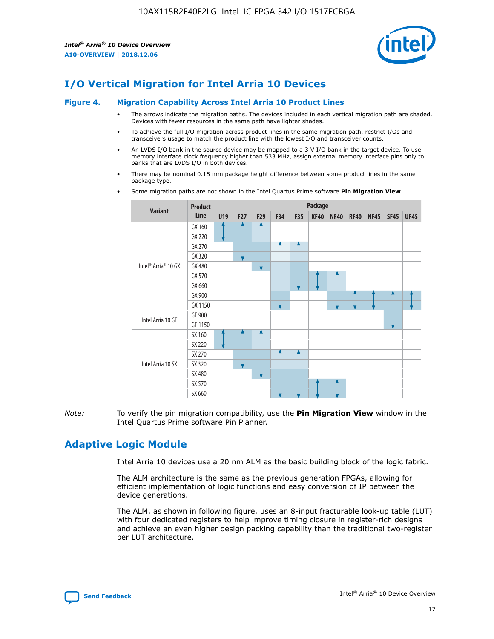

# **I/O Vertical Migration for Intel Arria 10 Devices**

#### **Figure 4. Migration Capability Across Intel Arria 10 Product Lines**

- The arrows indicate the migration paths. The devices included in each vertical migration path are shaded. Devices with fewer resources in the same path have lighter shades.
- To achieve the full I/O migration across product lines in the same migration path, restrict I/Os and transceivers usage to match the product line with the lowest I/O and transceiver counts.
- An LVDS I/O bank in the source device may be mapped to a 3 V I/O bank in the target device. To use memory interface clock frequency higher than 533 MHz, assign external memory interface pins only to banks that are LVDS I/O in both devices.
- There may be nominal 0.15 mm package height difference between some product lines in the same package type.
	- **Variant Product Line Package U19 F27 F29 F34 F35 KF40 NF40 RF40 NF45 SF45 UF45** Intel® Arria® 10 GX GX 160 GX 220 GX 270 GX 320 GX 480 GX 570 GX 660 GX 900 GX 1150 Intel Arria 10 GT GT 900 GT 1150 Intel Arria 10 SX SX 160 SX 220 SX 270 SX 320 SX 480 SX 570 SX 660
- Some migration paths are not shown in the Intel Quartus Prime software **Pin Migration View**.

*Note:* To verify the pin migration compatibility, use the **Pin Migration View** window in the Intel Quartus Prime software Pin Planner.

# **Adaptive Logic Module**

Intel Arria 10 devices use a 20 nm ALM as the basic building block of the logic fabric.

The ALM architecture is the same as the previous generation FPGAs, allowing for efficient implementation of logic functions and easy conversion of IP between the device generations.

The ALM, as shown in following figure, uses an 8-input fracturable look-up table (LUT) with four dedicated registers to help improve timing closure in register-rich designs and achieve an even higher design packing capability than the traditional two-register per LUT architecture.

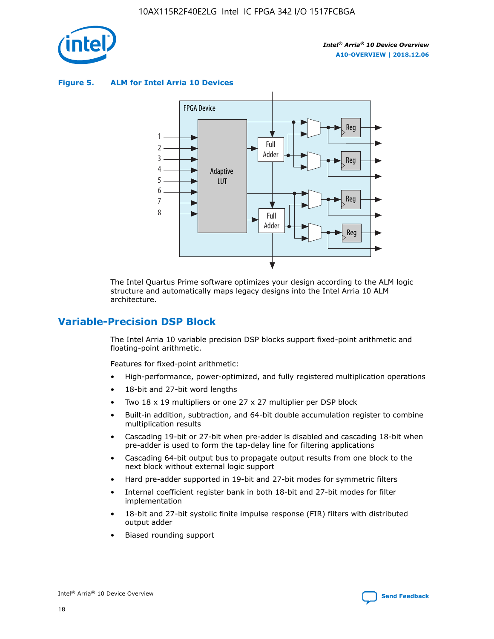

**Figure 5. ALM for Intel Arria 10 Devices**



The Intel Quartus Prime software optimizes your design according to the ALM logic structure and automatically maps legacy designs into the Intel Arria 10 ALM architecture.

# **Variable-Precision DSP Block**

The Intel Arria 10 variable precision DSP blocks support fixed-point arithmetic and floating-point arithmetic.

Features for fixed-point arithmetic:

- High-performance, power-optimized, and fully registered multiplication operations
- 18-bit and 27-bit word lengths
- Two 18 x 19 multipliers or one 27 x 27 multiplier per DSP block
- Built-in addition, subtraction, and 64-bit double accumulation register to combine multiplication results
- Cascading 19-bit or 27-bit when pre-adder is disabled and cascading 18-bit when pre-adder is used to form the tap-delay line for filtering applications
- Cascading 64-bit output bus to propagate output results from one block to the next block without external logic support
- Hard pre-adder supported in 19-bit and 27-bit modes for symmetric filters
- Internal coefficient register bank in both 18-bit and 27-bit modes for filter implementation
- 18-bit and 27-bit systolic finite impulse response (FIR) filters with distributed output adder
- Biased rounding support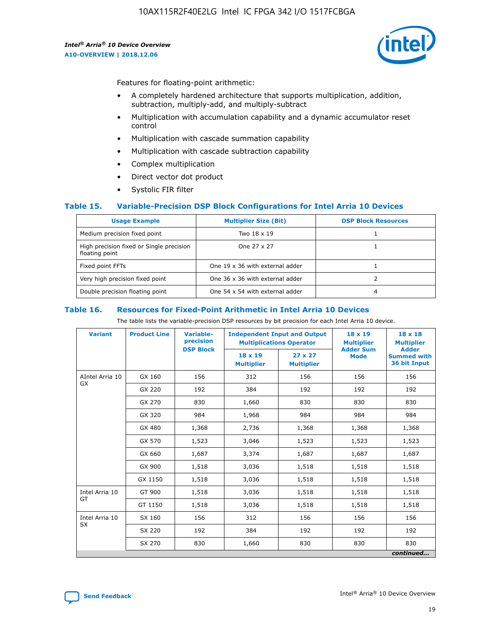

Features for floating-point arithmetic:

- A completely hardened architecture that supports multiplication, addition, subtraction, multiply-add, and multiply-subtract
- Multiplication with accumulation capability and a dynamic accumulator reset control
- Multiplication with cascade summation capability
- Multiplication with cascade subtraction capability
- Complex multiplication
- Direct vector dot product
- Systolic FIR filter

#### **Table 15. Variable-Precision DSP Block Configurations for Intel Arria 10 Devices**

| <b>Usage Example</b>                                       | <b>Multiplier Size (Bit)</b>    | <b>DSP Block Resources</b> |
|------------------------------------------------------------|---------------------------------|----------------------------|
| Medium precision fixed point                               | Two 18 x 19                     |                            |
| High precision fixed or Single precision<br>floating point | One 27 x 27                     |                            |
| Fixed point FFTs                                           | One 19 x 36 with external adder |                            |
| Very high precision fixed point                            | One 36 x 36 with external adder |                            |
| Double precision floating point                            | One 54 x 54 with external adder | 4                          |

#### **Table 16. Resources for Fixed-Point Arithmetic in Intel Arria 10 Devices**

The table lists the variable-precision DSP resources by bit precision for each Intel Arria 10 device.

| <b>Variant</b>  | <b>Product Line</b> | <b>Variable-</b><br>precision<br><b>DSP Block</b> | <b>Independent Input and Output</b><br><b>Multiplications Operator</b> |                                     | 18 x 19<br><b>Multiplier</b><br><b>Adder Sum</b> | $18 \times 18$<br><b>Multiplier</b><br><b>Adder</b> |
|-----------------|---------------------|---------------------------------------------------|------------------------------------------------------------------------|-------------------------------------|--------------------------------------------------|-----------------------------------------------------|
|                 |                     |                                                   | 18 x 19<br><b>Multiplier</b>                                           | $27 \times 27$<br><b>Multiplier</b> | <b>Mode</b>                                      | <b>Summed with</b><br>36 bit Input                  |
| AIntel Arria 10 | GX 160              | 156                                               | 312                                                                    | 156                                 | 156                                              | 156                                                 |
| GX              | GX 220              | 192                                               | 384                                                                    | 192                                 | 192                                              | 192                                                 |
|                 | GX 270              | 830                                               | 1,660                                                                  | 830                                 | 830                                              | 830                                                 |
|                 | GX 320              | 984                                               | 1,968                                                                  | 984                                 | 984                                              | 984                                                 |
|                 | GX 480              | 1,368                                             | 2,736                                                                  | 1,368                               | 1,368                                            | 1,368                                               |
|                 | GX 570              | 1,523                                             | 3,046                                                                  | 1,523                               | 1,523                                            | 1,523                                               |
|                 | GX 660              | 1,687                                             | 3,374                                                                  | 1,687                               | 1,687                                            | 1,687                                               |
|                 | GX 900              | 1,518                                             | 3,036                                                                  | 1,518                               | 1,518                                            | 1,518                                               |
|                 | GX 1150             | 1,518                                             | 3,036                                                                  | 1,518                               | 1,518                                            | 1,518                                               |
| Intel Arria 10  | GT 900              | 1,518                                             | 3,036                                                                  | 1,518                               | 1,518                                            | 1,518                                               |
| GT              | GT 1150             | 1,518                                             | 3,036                                                                  | 1,518                               | 1,518                                            | 1,518                                               |
| Intel Arria 10  | SX 160              | 156                                               | 312                                                                    | 156                                 | 156                                              | 156                                                 |
| <b>SX</b>       | SX 220              | 192                                               | 384                                                                    | 192                                 | 192                                              | 192                                                 |
|                 | SX 270              | 830                                               | 1,660                                                                  | 830                                 | 830                                              | 830                                                 |
|                 |                     |                                                   |                                                                        |                                     |                                                  | continued                                           |

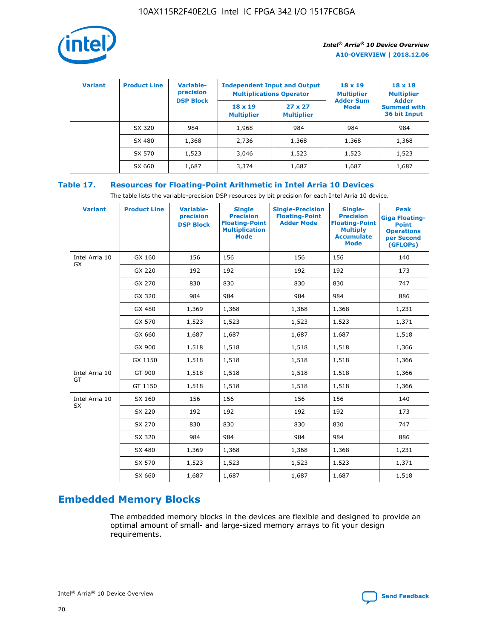

| <b>Variant</b> | <b>Product Line</b> | Variable-<br>precision | <b>Multiplications Operator</b>     | <b>Independent Input and Output</b> | $18 \times 19$<br><b>Multiplier</b> | $18 \times 18$<br><b>Multiplier</b><br><b>Adder</b> |  |
|----------------|---------------------|------------------------|-------------------------------------|-------------------------------------|-------------------------------------|-----------------------------------------------------|--|
|                |                     | <b>DSP Block</b>       | $18 \times 19$<br><b>Multiplier</b> | $27 \times 27$<br><b>Multiplier</b> | <b>Adder Sum</b><br><b>Mode</b>     | <b>Summed with</b><br>36 bit Input                  |  |
|                | SX 320              | 984                    | 1,968                               | 984                                 | 984                                 | 984                                                 |  |
|                | SX 480              | 1,368                  | 2,736                               | 1,368                               | 1,368                               | 1,368                                               |  |
|                | SX 570              | 1,523                  | 3,046                               | 1,523                               | 1,523                               | 1,523                                               |  |
|                | SX 660              | 1,687                  | 3,374                               | 1,687                               | 1,687                               | 1,687                                               |  |

# **Table 17. Resources for Floating-Point Arithmetic in Intel Arria 10 Devices**

The table lists the variable-precision DSP resources by bit precision for each Intel Arria 10 device.

| <b>Variant</b>              | <b>Product Line</b> | <b>Variable-</b><br>precision<br><b>DSP Block</b> | <b>Single</b><br><b>Precision</b><br><b>Floating-Point</b><br><b>Multiplication</b><br><b>Mode</b> | <b>Single-Precision</b><br><b>Floating-Point</b><br><b>Adder Mode</b> | Single-<br><b>Precision</b><br><b>Floating-Point</b><br><b>Multiply</b><br><b>Accumulate</b><br><b>Mode</b> | <b>Peak</b><br><b>Giga Floating-</b><br><b>Point</b><br><b>Operations</b><br>per Second<br>(GFLOPs) |
|-----------------------------|---------------------|---------------------------------------------------|----------------------------------------------------------------------------------------------------|-----------------------------------------------------------------------|-------------------------------------------------------------------------------------------------------------|-----------------------------------------------------------------------------------------------------|
| Intel Arria 10<br><b>GX</b> | GX 160              | 156                                               | 156                                                                                                | 156                                                                   | 156                                                                                                         | 140                                                                                                 |
|                             | GX 220              | 192                                               | 192                                                                                                | 192                                                                   | 192                                                                                                         | 173                                                                                                 |
|                             | GX 270              | 830                                               | 830                                                                                                | 830                                                                   | 830                                                                                                         | 747                                                                                                 |
|                             | GX 320              | 984                                               | 984                                                                                                | 984                                                                   | 984                                                                                                         | 886                                                                                                 |
|                             | GX 480              | 1,369                                             | 1,368                                                                                              | 1,368                                                                 | 1,368                                                                                                       | 1,231                                                                                               |
|                             | GX 570              | 1,523                                             | 1,523                                                                                              | 1,523                                                                 | 1,523                                                                                                       | 1,371                                                                                               |
|                             | GX 660              | 1,687                                             | 1,687                                                                                              | 1,687                                                                 | 1,687                                                                                                       | 1,518                                                                                               |
|                             | GX 900              | 1,518                                             | 1,518                                                                                              | 1,518                                                                 | 1,518                                                                                                       | 1,366                                                                                               |
|                             | GX 1150             | 1,518                                             | 1,518                                                                                              | 1,518                                                                 | 1,518                                                                                                       | 1,366                                                                                               |
| Intel Arria 10              | GT 900              | 1,518                                             | 1,518                                                                                              | 1,518                                                                 | 1,518                                                                                                       | 1,366                                                                                               |
| GT                          | GT 1150             | 1,518                                             | 1,518                                                                                              | 1,518                                                                 | 1,518                                                                                                       | 1,366                                                                                               |
| Intel Arria 10              | SX 160              | 156                                               | 156                                                                                                | 156                                                                   | 156                                                                                                         | 140                                                                                                 |
| <b>SX</b>                   | SX 220              | 192                                               | 192                                                                                                | 192                                                                   | 192                                                                                                         | 173                                                                                                 |
|                             | SX 270              | 830                                               | 830                                                                                                | 830                                                                   | 830                                                                                                         | 747                                                                                                 |
|                             | SX 320              | 984                                               | 984                                                                                                | 984                                                                   | 984                                                                                                         | 886                                                                                                 |
|                             | SX 480              | 1,369                                             | 1,368                                                                                              | 1,368                                                                 | 1,368                                                                                                       | 1,231                                                                                               |
|                             | SX 570              | 1,523                                             | 1,523                                                                                              | 1,523                                                                 | 1,523                                                                                                       | 1,371                                                                                               |
|                             | SX 660              | 1,687                                             | 1,687                                                                                              | 1,687                                                                 | 1,687                                                                                                       | 1,518                                                                                               |

# **Embedded Memory Blocks**

The embedded memory blocks in the devices are flexible and designed to provide an optimal amount of small- and large-sized memory arrays to fit your design requirements.

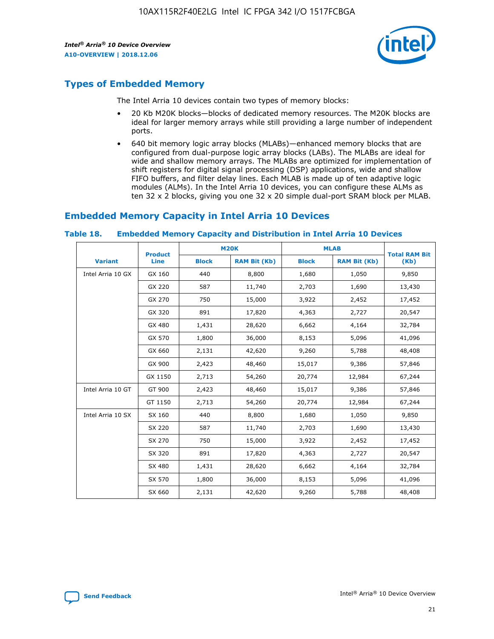

# **Types of Embedded Memory**

The Intel Arria 10 devices contain two types of memory blocks:

- 20 Kb M20K blocks—blocks of dedicated memory resources. The M20K blocks are ideal for larger memory arrays while still providing a large number of independent ports.
- 640 bit memory logic array blocks (MLABs)—enhanced memory blocks that are configured from dual-purpose logic array blocks (LABs). The MLABs are ideal for wide and shallow memory arrays. The MLABs are optimized for implementation of shift registers for digital signal processing (DSP) applications, wide and shallow FIFO buffers, and filter delay lines. Each MLAB is made up of ten adaptive logic modules (ALMs). In the Intel Arria 10 devices, you can configure these ALMs as ten 32 x 2 blocks, giving you one 32 x 20 simple dual-port SRAM block per MLAB.

# **Embedded Memory Capacity in Intel Arria 10 Devices**

|                   | <b>Product</b> | <b>M20K</b>  |                     | <b>MLAB</b>  |                     | <b>Total RAM Bit</b> |  |
|-------------------|----------------|--------------|---------------------|--------------|---------------------|----------------------|--|
| <b>Variant</b>    | <b>Line</b>    | <b>Block</b> | <b>RAM Bit (Kb)</b> | <b>Block</b> | <b>RAM Bit (Kb)</b> | (Kb)                 |  |
| Intel Arria 10 GX | GX 160         | 440          | 8,800               | 1,680        | 1,050               | 9,850                |  |
|                   | GX 220         | 587          | 11,740              | 2,703        | 1,690               | 13,430               |  |
|                   | GX 270         | 750          | 15,000              | 3,922        | 2,452               | 17,452               |  |
|                   | GX 320         | 891          | 17,820              | 4,363        | 2,727               | 20,547               |  |
|                   | GX 480         | 1,431        | 28,620              | 6,662        | 4,164               | 32,784               |  |
|                   | GX 570         | 1,800        | 36,000              | 8,153        | 5,096               | 41,096               |  |
|                   | GX 660         | 2,131        | 42,620              | 9,260        | 5,788               | 48,408               |  |
|                   | GX 900         | 2,423        | 48,460              | 15,017       | 9,386               | 57,846               |  |
|                   | GX 1150        | 2,713        | 54,260              | 20,774       | 12,984              | 67,244               |  |
| Intel Arria 10 GT | GT 900         | 2,423        | 48,460              | 15,017       | 9,386               | 57,846               |  |
|                   | GT 1150        | 2,713        | 54,260              | 20,774       | 12,984              | 67,244               |  |
| Intel Arria 10 SX | SX 160         | 440          | 8,800               | 1,680        | 1,050               | 9,850                |  |
|                   | SX 220         | 587          | 11,740              | 2,703        | 1,690               | 13,430               |  |
|                   | SX 270         | 750          | 15,000              | 3,922        | 2,452               | 17,452               |  |
|                   | SX 320         | 891          | 17,820              | 4,363        | 2,727               | 20,547               |  |
|                   | SX 480         | 1,431        | 28,620              | 6,662        | 4,164               | 32,784               |  |
|                   | SX 570         | 1,800        | 36,000              | 8,153        | 5,096               | 41,096               |  |
|                   | SX 660         | 2,131        | 42,620              | 9,260        | 5,788               | 48,408               |  |

#### **Table 18. Embedded Memory Capacity and Distribution in Intel Arria 10 Devices**

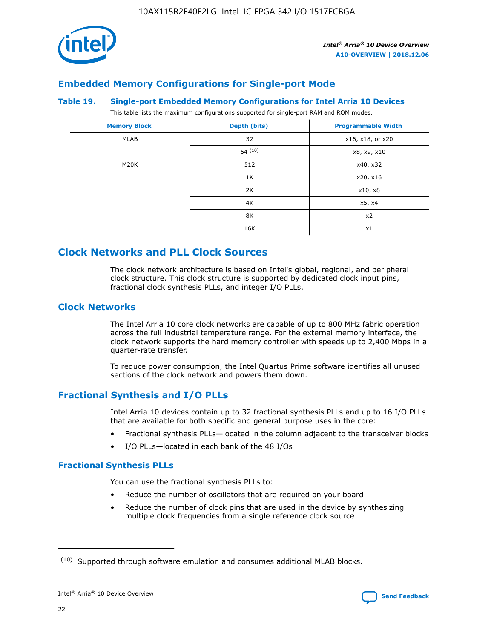

# **Embedded Memory Configurations for Single-port Mode**

#### **Table 19. Single-port Embedded Memory Configurations for Intel Arria 10 Devices**

This table lists the maximum configurations supported for single-port RAM and ROM modes.

| <b>Memory Block</b> | Depth (bits) | <b>Programmable Width</b> |
|---------------------|--------------|---------------------------|
| MLAB                | 32           | x16, x18, or x20          |
|                     | 64(10)       | x8, x9, x10               |
| M20K                | 512          | x40, x32                  |
|                     | 1K           | x20, x16                  |
|                     | 2K           | x10, x8                   |
|                     | 4K           | x5, x4                    |
|                     | 8K           | x2                        |
|                     | 16K          | x1                        |

# **Clock Networks and PLL Clock Sources**

The clock network architecture is based on Intel's global, regional, and peripheral clock structure. This clock structure is supported by dedicated clock input pins, fractional clock synthesis PLLs, and integer I/O PLLs.

# **Clock Networks**

The Intel Arria 10 core clock networks are capable of up to 800 MHz fabric operation across the full industrial temperature range. For the external memory interface, the clock network supports the hard memory controller with speeds up to 2,400 Mbps in a quarter-rate transfer.

To reduce power consumption, the Intel Quartus Prime software identifies all unused sections of the clock network and powers them down.

# **Fractional Synthesis and I/O PLLs**

Intel Arria 10 devices contain up to 32 fractional synthesis PLLs and up to 16 I/O PLLs that are available for both specific and general purpose uses in the core:

- Fractional synthesis PLLs—located in the column adjacent to the transceiver blocks
- I/O PLLs—located in each bank of the 48 I/Os

## **Fractional Synthesis PLLs**

You can use the fractional synthesis PLLs to:

- Reduce the number of oscillators that are required on your board
- Reduce the number of clock pins that are used in the device by synthesizing multiple clock frequencies from a single reference clock source

<sup>(10)</sup> Supported through software emulation and consumes additional MLAB blocks.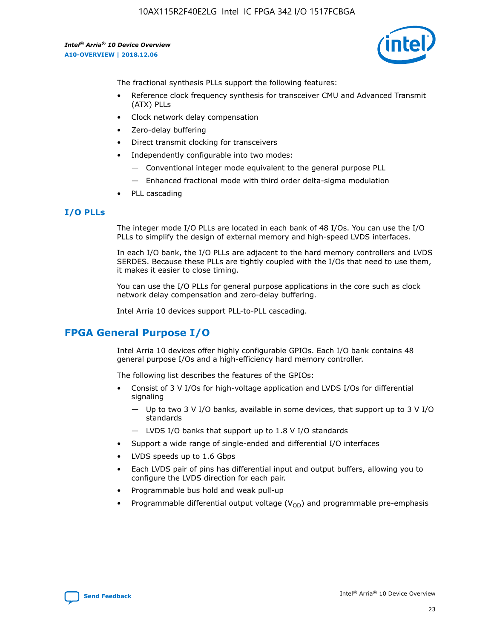10AX115R2F40E2LG Intel IC FPGA 342 I/O 1517FCBGA

*Intel® Arria® 10 Device Overview* **A10-OVERVIEW | 2018.12.06**



The fractional synthesis PLLs support the following features:

- Reference clock frequency synthesis for transceiver CMU and Advanced Transmit (ATX) PLLs
- Clock network delay compensation
- Zero-delay buffering
- Direct transmit clocking for transceivers
- Independently configurable into two modes:
	- Conventional integer mode equivalent to the general purpose PLL
	- Enhanced fractional mode with third order delta-sigma modulation
- PLL cascading

## **I/O PLLs**

The integer mode I/O PLLs are located in each bank of 48 I/Os. You can use the I/O PLLs to simplify the design of external memory and high-speed LVDS interfaces.

In each I/O bank, the I/O PLLs are adjacent to the hard memory controllers and LVDS SERDES. Because these PLLs are tightly coupled with the I/Os that need to use them, it makes it easier to close timing.

You can use the I/O PLLs for general purpose applications in the core such as clock network delay compensation and zero-delay buffering.

Intel Arria 10 devices support PLL-to-PLL cascading.

# **FPGA General Purpose I/O**

Intel Arria 10 devices offer highly configurable GPIOs. Each I/O bank contains 48 general purpose I/Os and a high-efficiency hard memory controller.

The following list describes the features of the GPIOs:

- Consist of 3 V I/Os for high-voltage application and LVDS I/Os for differential signaling
	- Up to two 3 V I/O banks, available in some devices, that support up to 3 V I/O standards
	- LVDS I/O banks that support up to 1.8 V I/O standards
- Support a wide range of single-ended and differential I/O interfaces
- LVDS speeds up to 1.6 Gbps
- Each LVDS pair of pins has differential input and output buffers, allowing you to configure the LVDS direction for each pair.
- Programmable bus hold and weak pull-up
- Programmable differential output voltage  $(V_{OD})$  and programmable pre-emphasis

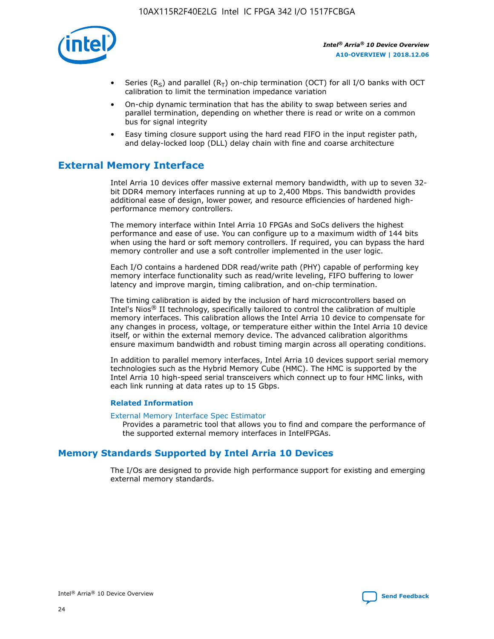

- Series (R<sub>S</sub>) and parallel (R<sub>T</sub>) on-chip termination (OCT) for all I/O banks with OCT calibration to limit the termination impedance variation
- On-chip dynamic termination that has the ability to swap between series and parallel termination, depending on whether there is read or write on a common bus for signal integrity
- Easy timing closure support using the hard read FIFO in the input register path, and delay-locked loop (DLL) delay chain with fine and coarse architecture

# **External Memory Interface**

Intel Arria 10 devices offer massive external memory bandwidth, with up to seven 32 bit DDR4 memory interfaces running at up to 2,400 Mbps. This bandwidth provides additional ease of design, lower power, and resource efficiencies of hardened highperformance memory controllers.

The memory interface within Intel Arria 10 FPGAs and SoCs delivers the highest performance and ease of use. You can configure up to a maximum width of 144 bits when using the hard or soft memory controllers. If required, you can bypass the hard memory controller and use a soft controller implemented in the user logic.

Each I/O contains a hardened DDR read/write path (PHY) capable of performing key memory interface functionality such as read/write leveling, FIFO buffering to lower latency and improve margin, timing calibration, and on-chip termination.

The timing calibration is aided by the inclusion of hard microcontrollers based on Intel's Nios® II technology, specifically tailored to control the calibration of multiple memory interfaces. This calibration allows the Intel Arria 10 device to compensate for any changes in process, voltage, or temperature either within the Intel Arria 10 device itself, or within the external memory device. The advanced calibration algorithms ensure maximum bandwidth and robust timing margin across all operating conditions.

In addition to parallel memory interfaces, Intel Arria 10 devices support serial memory technologies such as the Hybrid Memory Cube (HMC). The HMC is supported by the Intel Arria 10 high-speed serial transceivers which connect up to four HMC links, with each link running at data rates up to 15 Gbps.

#### **Related Information**

#### [External Memory Interface Spec Estimator](http://www.altera.com/technology/memory/estimator/mem-emif-index.html)

Provides a parametric tool that allows you to find and compare the performance of the supported external memory interfaces in IntelFPGAs.

# **Memory Standards Supported by Intel Arria 10 Devices**

The I/Os are designed to provide high performance support for existing and emerging external memory standards.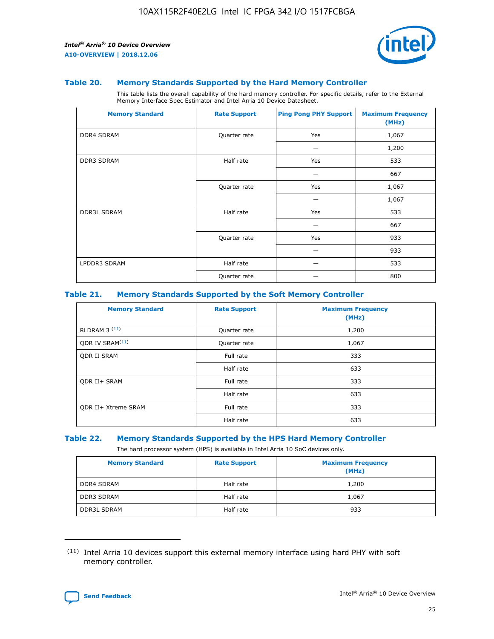

#### **Table 20. Memory Standards Supported by the Hard Memory Controller**

This table lists the overall capability of the hard memory controller. For specific details, refer to the External Memory Interface Spec Estimator and Intel Arria 10 Device Datasheet.

| <b>Memory Standard</b> | <b>Rate Support</b> | <b>Ping Pong PHY Support</b> | <b>Maximum Frequency</b><br>(MHz) |
|------------------------|---------------------|------------------------------|-----------------------------------|
| <b>DDR4 SDRAM</b>      | Quarter rate        | Yes                          | 1,067                             |
|                        |                     |                              | 1,200                             |
| <b>DDR3 SDRAM</b>      | Half rate           | Yes                          | 533                               |
|                        |                     |                              | 667                               |
|                        | Quarter rate        | Yes                          | 1,067                             |
|                        |                     |                              | 1,067                             |
| <b>DDR3L SDRAM</b>     | Half rate           | Yes                          | 533                               |
|                        |                     |                              | 667                               |
|                        | Quarter rate        | Yes                          | 933                               |
|                        |                     |                              | 933                               |
| LPDDR3 SDRAM           | Half rate           |                              | 533                               |
|                        | Quarter rate        |                              | 800                               |

#### **Table 21. Memory Standards Supported by the Soft Memory Controller**

| <b>Memory Standard</b>      | <b>Rate Support</b> | <b>Maximum Frequency</b><br>(MHz) |
|-----------------------------|---------------------|-----------------------------------|
| <b>RLDRAM 3 (11)</b>        | Quarter rate        | 1,200                             |
| ODR IV SRAM <sup>(11)</sup> | Quarter rate        | 1,067                             |
| <b>ODR II SRAM</b>          | Full rate           | 333                               |
|                             | Half rate           | 633                               |
| <b>ODR II+ SRAM</b>         | Full rate           | 333                               |
|                             | Half rate           | 633                               |
| <b>ODR II+ Xtreme SRAM</b>  | Full rate           | 333                               |
|                             | Half rate           | 633                               |

#### **Table 22. Memory Standards Supported by the HPS Hard Memory Controller**

The hard processor system (HPS) is available in Intel Arria 10 SoC devices only.

| <b>Memory Standard</b> | <b>Rate Support</b> | <b>Maximum Frequency</b><br>(MHz) |
|------------------------|---------------------|-----------------------------------|
| <b>DDR4 SDRAM</b>      | Half rate           | 1,200                             |
| <b>DDR3 SDRAM</b>      | Half rate           | 1,067                             |
| <b>DDR3L SDRAM</b>     | Half rate           | 933                               |

<sup>(11)</sup> Intel Arria 10 devices support this external memory interface using hard PHY with soft memory controller.

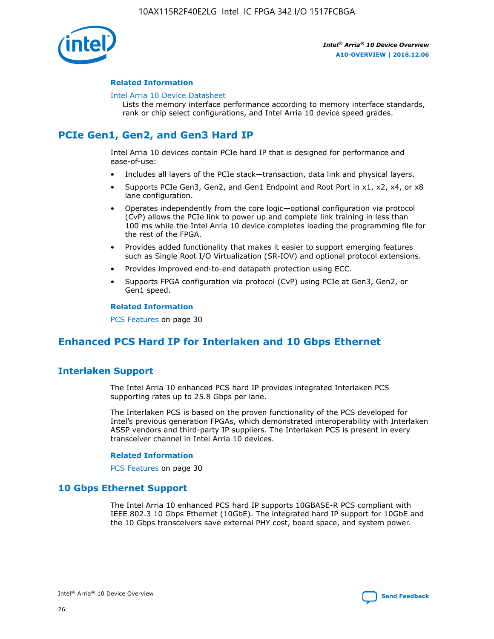

#### **Related Information**

#### [Intel Arria 10 Device Datasheet](https://www.intel.com/content/www/us/en/programmable/documentation/mcn1413182292568.html#mcn1413182153340)

Lists the memory interface performance according to memory interface standards, rank or chip select configurations, and Intel Arria 10 device speed grades.

# **PCIe Gen1, Gen2, and Gen3 Hard IP**

Intel Arria 10 devices contain PCIe hard IP that is designed for performance and ease-of-use:

- Includes all layers of the PCIe stack—transaction, data link and physical layers.
- Supports PCIe Gen3, Gen2, and Gen1 Endpoint and Root Port in x1, x2, x4, or x8 lane configuration.
- Operates independently from the core logic—optional configuration via protocol (CvP) allows the PCIe link to power up and complete link training in less than 100 ms while the Intel Arria 10 device completes loading the programming file for the rest of the FPGA.
- Provides added functionality that makes it easier to support emerging features such as Single Root I/O Virtualization (SR-IOV) and optional protocol extensions.
- Provides improved end-to-end datapath protection using ECC.
- Supports FPGA configuration via protocol (CvP) using PCIe at Gen3, Gen2, or Gen1 speed.

#### **Related Information**

PCS Features on page 30

# **Enhanced PCS Hard IP for Interlaken and 10 Gbps Ethernet**

# **Interlaken Support**

The Intel Arria 10 enhanced PCS hard IP provides integrated Interlaken PCS supporting rates up to 25.8 Gbps per lane.

The Interlaken PCS is based on the proven functionality of the PCS developed for Intel's previous generation FPGAs, which demonstrated interoperability with Interlaken ASSP vendors and third-party IP suppliers. The Interlaken PCS is present in every transceiver channel in Intel Arria 10 devices.

#### **Related Information**

PCS Features on page 30

## **10 Gbps Ethernet Support**

The Intel Arria 10 enhanced PCS hard IP supports 10GBASE-R PCS compliant with IEEE 802.3 10 Gbps Ethernet (10GbE). The integrated hard IP support for 10GbE and the 10 Gbps transceivers save external PHY cost, board space, and system power.

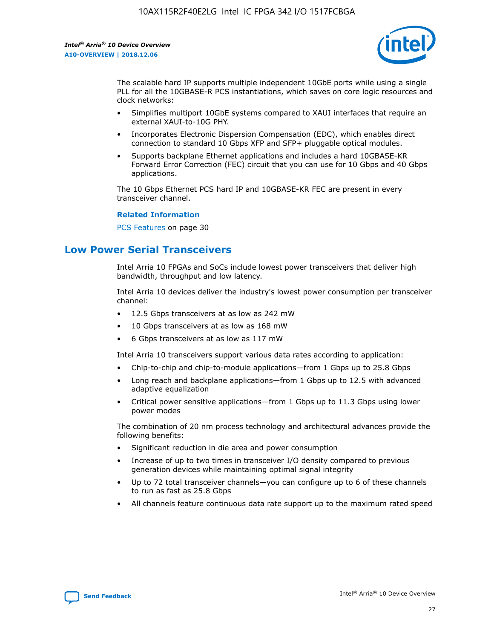

The scalable hard IP supports multiple independent 10GbE ports while using a single PLL for all the 10GBASE-R PCS instantiations, which saves on core logic resources and clock networks:

- Simplifies multiport 10GbE systems compared to XAUI interfaces that require an external XAUI-to-10G PHY.
- Incorporates Electronic Dispersion Compensation (EDC), which enables direct connection to standard 10 Gbps XFP and SFP+ pluggable optical modules.
- Supports backplane Ethernet applications and includes a hard 10GBASE-KR Forward Error Correction (FEC) circuit that you can use for 10 Gbps and 40 Gbps applications.

The 10 Gbps Ethernet PCS hard IP and 10GBASE-KR FEC are present in every transceiver channel.

#### **Related Information**

PCS Features on page 30

# **Low Power Serial Transceivers**

Intel Arria 10 FPGAs and SoCs include lowest power transceivers that deliver high bandwidth, throughput and low latency.

Intel Arria 10 devices deliver the industry's lowest power consumption per transceiver channel:

- 12.5 Gbps transceivers at as low as 242 mW
- 10 Gbps transceivers at as low as 168 mW
- 6 Gbps transceivers at as low as 117 mW

Intel Arria 10 transceivers support various data rates according to application:

- Chip-to-chip and chip-to-module applications—from 1 Gbps up to 25.8 Gbps
- Long reach and backplane applications—from 1 Gbps up to 12.5 with advanced adaptive equalization
- Critical power sensitive applications—from 1 Gbps up to 11.3 Gbps using lower power modes

The combination of 20 nm process technology and architectural advances provide the following benefits:

- Significant reduction in die area and power consumption
- Increase of up to two times in transceiver I/O density compared to previous generation devices while maintaining optimal signal integrity
- Up to 72 total transceiver channels—you can configure up to 6 of these channels to run as fast as 25.8 Gbps
- All channels feature continuous data rate support up to the maximum rated speed

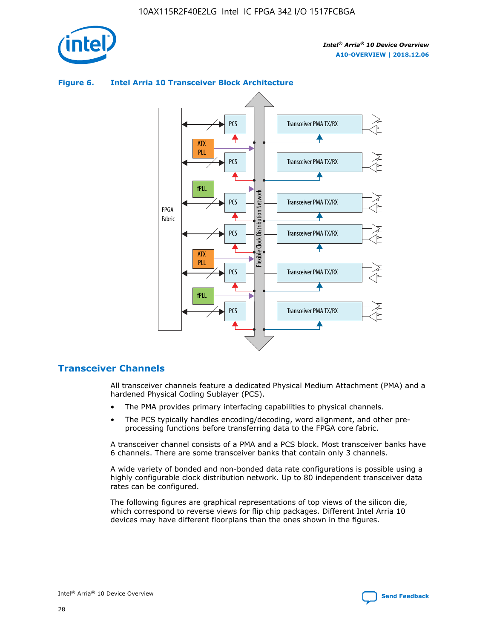



## **Figure 6. Intel Arria 10 Transceiver Block Architecture**

# **Transceiver Channels**

All transceiver channels feature a dedicated Physical Medium Attachment (PMA) and a hardened Physical Coding Sublayer (PCS).

- The PMA provides primary interfacing capabilities to physical channels.
- The PCS typically handles encoding/decoding, word alignment, and other preprocessing functions before transferring data to the FPGA core fabric.

A transceiver channel consists of a PMA and a PCS block. Most transceiver banks have 6 channels. There are some transceiver banks that contain only 3 channels.

A wide variety of bonded and non-bonded data rate configurations is possible using a highly configurable clock distribution network. Up to 80 independent transceiver data rates can be configured.

The following figures are graphical representations of top views of the silicon die, which correspond to reverse views for flip chip packages. Different Intel Arria 10 devices may have different floorplans than the ones shown in the figures.

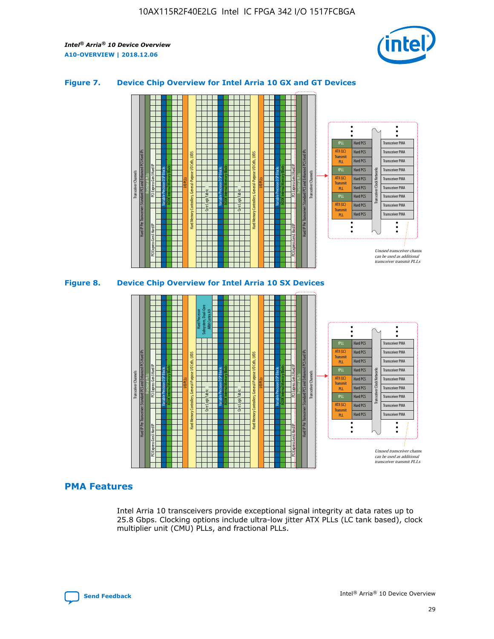

## **Figure 7. Device Chip Overview for Intel Arria 10 GX and GT Devices**



M20K Internal Memory Blocks Core Logic Fabric Transceiver Channels Hard IP Per Transceiver: Standard PCS and Enhanced PCS Hard IPs PCI Express Gen3 Hard IP Fractional PLLs M20K Internal Memory Blocks PCI Express Gen3 Hard IP Variable Precision DSP Blocks I/O PLLs Hard Memory Controllers, General-Purpose I/O Cells, LVDS Hard Processor Subsystem, Dual-Core ARM Cortex A9 M20K Internal Memory Blocks Variable Precision DSP Blocks M20K Internal Memory Blocks Core Logic Fabric I/O PLLs Hard Memory Controllers, General-Purpose I/O Cells, LVDS M20K Internal Memory Blocks Variable Precision DSP Blocks M20K Internal Memory Blocks Transceiver Channels Hard IP Per Transceiver: Standard PCS and Enhanced PCS Hard IPs PCI Express Gen3 Hard IP Fractional PLLs PCI Express Gen3 Hard IP Hard PCS Hard PCS Hard PCS Hard PCS Hard PCS Hard PCS Hard PCS Hard PCS Hard PCS Transceiver PMA Transceiver PMA Transceiver PMA Transceiver PMA Transceiver PMA Transceiver PMA Transceiver PMA Unused transceiver chann can be used as additional transceiver transmit PLLs Transceiver PMA Transceiver PMA Transceiver Clock Networks ATX (LC) **Transmit** PLL fPLL ATX (LC) Transmi PLL fPLL ATX (LC) **Transmit** PLL

## **PMA Features**

Intel Arria 10 transceivers provide exceptional signal integrity at data rates up to 25.8 Gbps. Clocking options include ultra-low jitter ATX PLLs (LC tank based), clock multiplier unit (CMU) PLLs, and fractional PLLs.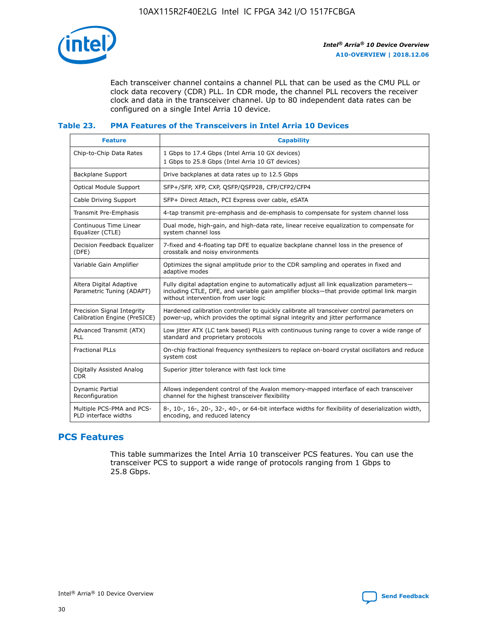

Each transceiver channel contains a channel PLL that can be used as the CMU PLL or clock data recovery (CDR) PLL. In CDR mode, the channel PLL recovers the receiver clock and data in the transceiver channel. Up to 80 independent data rates can be configured on a single Intel Arria 10 device.

## **Table 23. PMA Features of the Transceivers in Intel Arria 10 Devices**

| <b>Feature</b>                                             | <b>Capability</b>                                                                                                                                                                                                             |
|------------------------------------------------------------|-------------------------------------------------------------------------------------------------------------------------------------------------------------------------------------------------------------------------------|
| Chip-to-Chip Data Rates                                    | 1 Gbps to 17.4 Gbps (Intel Arria 10 GX devices)<br>1 Gbps to 25.8 Gbps (Intel Arria 10 GT devices)                                                                                                                            |
| <b>Backplane Support</b>                                   | Drive backplanes at data rates up to 12.5 Gbps                                                                                                                                                                                |
| <b>Optical Module Support</b>                              | SFP+/SFP, XFP, CXP, QSFP/QSFP28, CFP/CFP2/CFP4                                                                                                                                                                                |
| Cable Driving Support                                      | SFP+ Direct Attach, PCI Express over cable, eSATA                                                                                                                                                                             |
| Transmit Pre-Emphasis                                      | 4-tap transmit pre-emphasis and de-emphasis to compensate for system channel loss                                                                                                                                             |
| Continuous Time Linear<br>Equalizer (CTLE)                 | Dual mode, high-gain, and high-data rate, linear receive equalization to compensate for<br>system channel loss                                                                                                                |
| Decision Feedback Equalizer<br>(DFE)                       | 7-fixed and 4-floating tap DFE to equalize backplane channel loss in the presence of<br>crosstalk and noisy environments                                                                                                      |
| Variable Gain Amplifier                                    | Optimizes the signal amplitude prior to the CDR sampling and operates in fixed and<br>adaptive modes                                                                                                                          |
| Altera Digital Adaptive<br>Parametric Tuning (ADAPT)       | Fully digital adaptation engine to automatically adjust all link equalization parameters-<br>including CTLE, DFE, and variable gain amplifier blocks—that provide optimal link margin<br>without intervention from user logic |
| Precision Signal Integrity<br>Calibration Engine (PreSICE) | Hardened calibration controller to quickly calibrate all transceiver control parameters on<br>power-up, which provides the optimal signal integrity and jitter performance                                                    |
| Advanced Transmit (ATX)<br><b>PLL</b>                      | Low jitter ATX (LC tank based) PLLs with continuous tuning range to cover a wide range of<br>standard and proprietary protocols                                                                                               |
| <b>Fractional PLLs</b>                                     | On-chip fractional frequency synthesizers to replace on-board crystal oscillators and reduce<br>system cost                                                                                                                   |
| Digitally Assisted Analog<br><b>CDR</b>                    | Superior jitter tolerance with fast lock time                                                                                                                                                                                 |
| Dynamic Partial<br>Reconfiguration                         | Allows independent control of the Avalon memory-mapped interface of each transceiver<br>channel for the highest transceiver flexibility                                                                                       |
| Multiple PCS-PMA and PCS-<br>PLD interface widths          | 8-, 10-, 16-, 20-, 32-, 40-, or 64-bit interface widths for flexibility of deserialization width,<br>encoding, and reduced latency                                                                                            |

# **PCS Features**

This table summarizes the Intel Arria 10 transceiver PCS features. You can use the transceiver PCS to support a wide range of protocols ranging from 1 Gbps to 25.8 Gbps.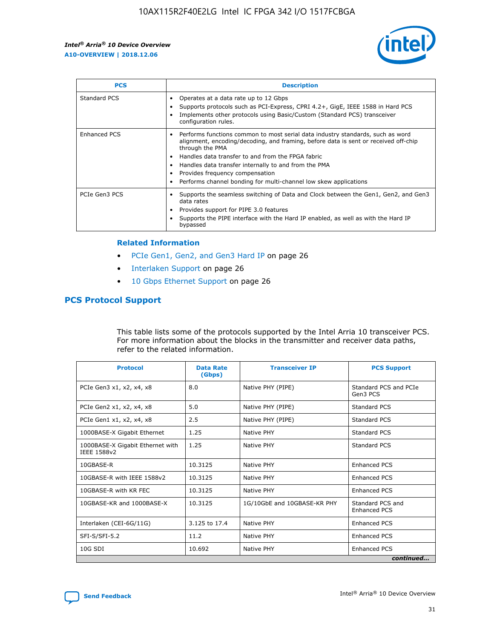

| <b>PCS</b>    | <b>Description</b>                                                                                                                                                                                                                                                                                                                                                                                             |
|---------------|----------------------------------------------------------------------------------------------------------------------------------------------------------------------------------------------------------------------------------------------------------------------------------------------------------------------------------------------------------------------------------------------------------------|
| Standard PCS  | Operates at a data rate up to 12 Gbps<br>Supports protocols such as PCI-Express, CPRI 4.2+, GigE, IEEE 1588 in Hard PCS<br>Implements other protocols using Basic/Custom (Standard PCS) transceiver<br>configuration rules.                                                                                                                                                                                    |
| Enhanced PCS  | Performs functions common to most serial data industry standards, such as word<br>alignment, encoding/decoding, and framing, before data is sent or received off-chip<br>through the PMA<br>• Handles data transfer to and from the FPGA fabric<br>Handles data transfer internally to and from the PMA<br>Provides frequency compensation<br>Performs channel bonding for multi-channel low skew applications |
| PCIe Gen3 PCS | Supports the seamless switching of Data and Clock between the Gen1, Gen2, and Gen3<br>data rates<br>Provides support for PIPE 3.0 features<br>Supports the PIPE interface with the Hard IP enabled, as well as with the Hard IP<br>bypassed                                                                                                                                                                    |

#### **Related Information**

- PCIe Gen1, Gen2, and Gen3 Hard IP on page 26
- Interlaken Support on page 26
- 10 Gbps Ethernet Support on page 26

# **PCS Protocol Support**

This table lists some of the protocols supported by the Intel Arria 10 transceiver PCS. For more information about the blocks in the transmitter and receiver data paths, refer to the related information.

| <b>Protocol</b>                                 | <b>Data Rate</b><br>(Gbps) | <b>Transceiver IP</b>       | <b>PCS Support</b>                      |
|-------------------------------------------------|----------------------------|-----------------------------|-----------------------------------------|
| PCIe Gen3 x1, x2, x4, x8                        | 8.0                        | Native PHY (PIPE)           | Standard PCS and PCIe<br>Gen3 PCS       |
| PCIe Gen2 x1, x2, x4, x8                        | 5.0                        | Native PHY (PIPE)           | <b>Standard PCS</b>                     |
| PCIe Gen1 x1, x2, x4, x8                        | 2.5                        | Native PHY (PIPE)           | Standard PCS                            |
| 1000BASE-X Gigabit Ethernet                     | 1.25                       | Native PHY                  | <b>Standard PCS</b>                     |
| 1000BASE-X Gigabit Ethernet with<br>IEEE 1588v2 | 1.25                       | Native PHY                  | Standard PCS                            |
| 10GBASE-R                                       | 10.3125                    | Native PHY                  | <b>Enhanced PCS</b>                     |
| 10GBASE-R with IEEE 1588v2                      | 10.3125                    | Native PHY                  | <b>Enhanced PCS</b>                     |
| 10GBASE-R with KR FEC                           | 10.3125                    | Native PHY                  | <b>Enhanced PCS</b>                     |
| 10GBASE-KR and 1000BASE-X                       | 10.3125                    | 1G/10GbE and 10GBASE-KR PHY | Standard PCS and<br><b>Enhanced PCS</b> |
| Interlaken (CEI-6G/11G)                         | 3.125 to 17.4              | Native PHY                  | <b>Enhanced PCS</b>                     |
| SFI-S/SFI-5.2                                   | 11.2                       | Native PHY                  | <b>Enhanced PCS</b>                     |
| $10G$ SDI                                       | 10.692                     | Native PHY                  | <b>Enhanced PCS</b>                     |
|                                                 |                            |                             | continued                               |

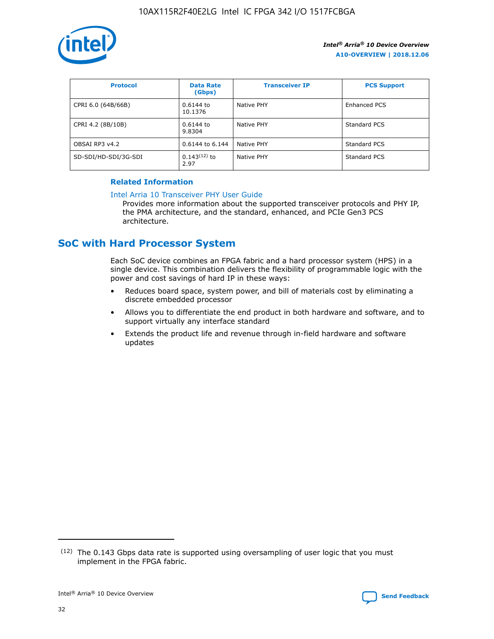

| <b>Protocol</b>      | <b>Data Rate</b><br>(Gbps) | <b>Transceiver IP</b> | <b>PCS Support</b> |
|----------------------|----------------------------|-----------------------|--------------------|
| CPRI 6.0 (64B/66B)   | 0.6144 to<br>10.1376       | Native PHY            | Enhanced PCS       |
| CPRI 4.2 (8B/10B)    | 0.6144 to<br>9.8304        | Native PHY            | Standard PCS       |
| OBSAI RP3 v4.2       | 0.6144 to 6.144            | Native PHY            | Standard PCS       |
| SD-SDI/HD-SDI/3G-SDI | $0.143(12)$ to<br>2.97     | Native PHY            | Standard PCS       |

## **Related Information**

#### [Intel Arria 10 Transceiver PHY User Guide](https://www.intel.com/content/www/us/en/programmable/documentation/nik1398707230472.html#nik1398707091164)

Provides more information about the supported transceiver protocols and PHY IP, the PMA architecture, and the standard, enhanced, and PCIe Gen3 PCS architecture.

# **SoC with Hard Processor System**

Each SoC device combines an FPGA fabric and a hard processor system (HPS) in a single device. This combination delivers the flexibility of programmable logic with the power and cost savings of hard IP in these ways:

- Reduces board space, system power, and bill of materials cost by eliminating a discrete embedded processor
- Allows you to differentiate the end product in both hardware and software, and to support virtually any interface standard
- Extends the product life and revenue through in-field hardware and software updates

<sup>(12)</sup> The 0.143 Gbps data rate is supported using oversampling of user logic that you must implement in the FPGA fabric.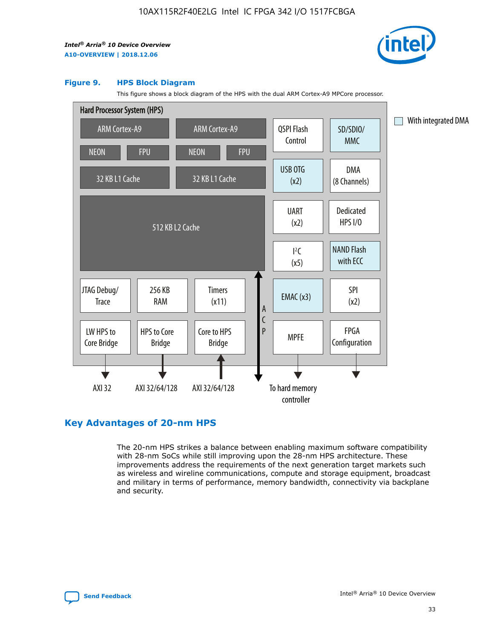

#### **Figure 9. HPS Block Diagram**

This figure shows a block diagram of the HPS with the dual ARM Cortex-A9 MPCore processor.



# **Key Advantages of 20-nm HPS**

The 20-nm HPS strikes a balance between enabling maximum software compatibility with 28-nm SoCs while still improving upon the 28-nm HPS architecture. These improvements address the requirements of the next generation target markets such as wireless and wireline communications, compute and storage equipment, broadcast and military in terms of performance, memory bandwidth, connectivity via backplane and security.

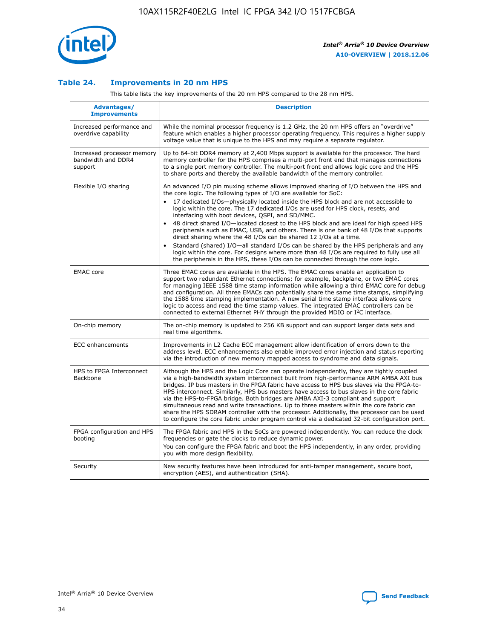

## **Table 24. Improvements in 20 nm HPS**

This table lists the key improvements of the 20 nm HPS compared to the 28 nm HPS.

| Advantages/<br><b>Improvements</b>                          | <b>Description</b>                                                                                                                                                                                                                                                                                                                                                                                                                                                                                                                                                                                                                                                                                                                                                                                                                                                                                                      |
|-------------------------------------------------------------|-------------------------------------------------------------------------------------------------------------------------------------------------------------------------------------------------------------------------------------------------------------------------------------------------------------------------------------------------------------------------------------------------------------------------------------------------------------------------------------------------------------------------------------------------------------------------------------------------------------------------------------------------------------------------------------------------------------------------------------------------------------------------------------------------------------------------------------------------------------------------------------------------------------------------|
| Increased performance and<br>overdrive capability           | While the nominal processor frequency is 1.2 GHz, the 20 nm HPS offers an "overdrive"<br>feature which enables a higher processor operating frequency. This requires a higher supply<br>voltage value that is unique to the HPS and may require a separate regulator.                                                                                                                                                                                                                                                                                                                                                                                                                                                                                                                                                                                                                                                   |
| Increased processor memory<br>bandwidth and DDR4<br>support | Up to 64-bit DDR4 memory at 2,400 Mbps support is available for the processor. The hard<br>memory controller for the HPS comprises a multi-port front end that manages connections<br>to a single port memory controller. The multi-port front end allows logic core and the HPS<br>to share ports and thereby the available bandwidth of the memory controller.                                                                                                                                                                                                                                                                                                                                                                                                                                                                                                                                                        |
| Flexible I/O sharing                                        | An advanced I/O pin muxing scheme allows improved sharing of I/O between the HPS and<br>the core logic. The following types of I/O are available for SoC:<br>17 dedicated I/Os-physically located inside the HPS block and are not accessible to<br>logic within the core. The 17 dedicated I/Os are used for HPS clock, resets, and<br>interfacing with boot devices, QSPI, and SD/MMC.<br>48 direct shared I/O-located closest to the HPS block and are ideal for high speed HPS<br>peripherals such as EMAC, USB, and others. There is one bank of 48 I/Os that supports<br>direct sharing where the 48 I/Os can be shared 12 I/Os at a time.<br>Standard (shared) I/O-all standard I/Os can be shared by the HPS peripherals and any<br>logic within the core. For designs where more than 48 I/Os are reguired to fully use all<br>the peripherals in the HPS, these I/Os can be connected through the core logic. |
| <b>EMAC</b> core                                            | Three EMAC cores are available in the HPS. The EMAC cores enable an application to<br>support two redundant Ethernet connections; for example, backplane, or two EMAC cores<br>for managing IEEE 1588 time stamp information while allowing a third EMAC core for debug<br>and configuration. All three EMACs can potentially share the same time stamps, simplifying<br>the 1588 time stamping implementation. A new serial time stamp interface allows core<br>logic to access and read the time stamp values. The integrated EMAC controllers can be<br>connected to external Ethernet PHY through the provided MDIO or I <sup>2</sup> C interface.                                                                                                                                                                                                                                                                  |
| On-chip memory                                              | The on-chip memory is updated to 256 KB support and can support larger data sets and<br>real time algorithms.                                                                                                                                                                                                                                                                                                                                                                                                                                                                                                                                                                                                                                                                                                                                                                                                           |
| <b>ECC</b> enhancements                                     | Improvements in L2 Cache ECC management allow identification of errors down to the<br>address level. ECC enhancements also enable improved error injection and status reporting<br>via the introduction of new memory mapped access to syndrome and data signals.                                                                                                                                                                                                                                                                                                                                                                                                                                                                                                                                                                                                                                                       |
| HPS to FPGA Interconnect<br>Backbone                        | Although the HPS and the Logic Core can operate independently, they are tightly coupled<br>via a high-bandwidth system interconnect built from high-performance ARM AMBA AXI bus<br>bridges. IP bus masters in the FPGA fabric have access to HPS bus slaves via the FPGA-to-<br>HPS interconnect. Similarly, HPS bus masters have access to bus slaves in the core fabric<br>via the HPS-to-FPGA bridge. Both bridges are AMBA AXI-3 compliant and support<br>simultaneous read and write transactions. Up to three masters within the core fabric can<br>share the HPS SDRAM controller with the processor. Additionally, the processor can be used<br>to configure the core fabric under program control via a dedicated 32-bit configuration port.                                                                                                                                                                  |
| FPGA configuration and HPS<br>booting                       | The FPGA fabric and HPS in the SoCs are powered independently. You can reduce the clock<br>frequencies or gate the clocks to reduce dynamic power.<br>You can configure the FPGA fabric and boot the HPS independently, in any order, providing<br>you with more design flexibility.                                                                                                                                                                                                                                                                                                                                                                                                                                                                                                                                                                                                                                    |
| Security                                                    | New security features have been introduced for anti-tamper management, secure boot,<br>encryption (AES), and authentication (SHA).                                                                                                                                                                                                                                                                                                                                                                                                                                                                                                                                                                                                                                                                                                                                                                                      |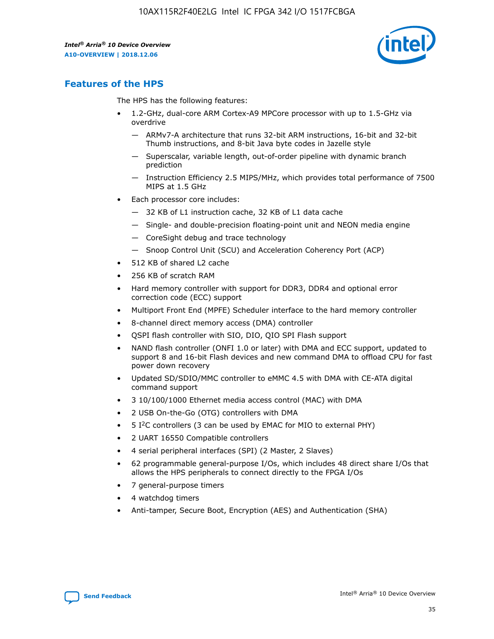

# **Features of the HPS**

The HPS has the following features:

- 1.2-GHz, dual-core ARM Cortex-A9 MPCore processor with up to 1.5-GHz via overdrive
	- ARMv7-A architecture that runs 32-bit ARM instructions, 16-bit and 32-bit Thumb instructions, and 8-bit Java byte codes in Jazelle style
	- Superscalar, variable length, out-of-order pipeline with dynamic branch prediction
	- Instruction Efficiency 2.5 MIPS/MHz, which provides total performance of 7500 MIPS at 1.5 GHz
- Each processor core includes:
	- 32 KB of L1 instruction cache, 32 KB of L1 data cache
	- Single- and double-precision floating-point unit and NEON media engine
	- CoreSight debug and trace technology
	- Snoop Control Unit (SCU) and Acceleration Coherency Port (ACP)
- 512 KB of shared L2 cache
- 256 KB of scratch RAM
- Hard memory controller with support for DDR3, DDR4 and optional error correction code (ECC) support
- Multiport Front End (MPFE) Scheduler interface to the hard memory controller
- 8-channel direct memory access (DMA) controller
- QSPI flash controller with SIO, DIO, QIO SPI Flash support
- NAND flash controller (ONFI 1.0 or later) with DMA and ECC support, updated to support 8 and 16-bit Flash devices and new command DMA to offload CPU for fast power down recovery
- Updated SD/SDIO/MMC controller to eMMC 4.5 with DMA with CE-ATA digital command support
- 3 10/100/1000 Ethernet media access control (MAC) with DMA
- 2 USB On-the-Go (OTG) controllers with DMA
- $\bullet$  5 I<sup>2</sup>C controllers (3 can be used by EMAC for MIO to external PHY)
- 2 UART 16550 Compatible controllers
- 4 serial peripheral interfaces (SPI) (2 Master, 2 Slaves)
- 62 programmable general-purpose I/Os, which includes 48 direct share I/Os that allows the HPS peripherals to connect directly to the FPGA I/Os
- 7 general-purpose timers
- 4 watchdog timers
- Anti-tamper, Secure Boot, Encryption (AES) and Authentication (SHA)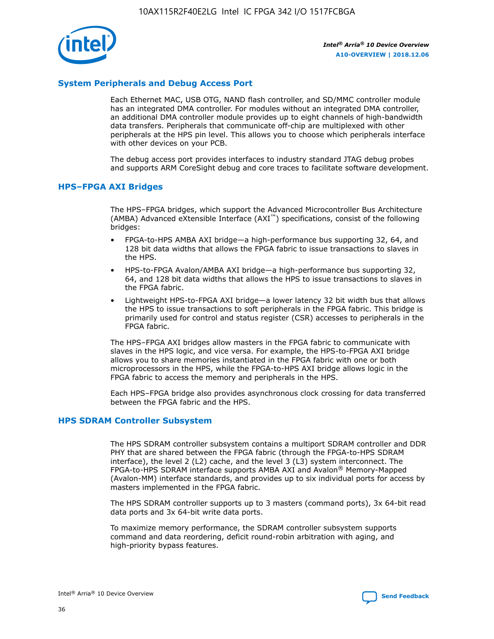

## **System Peripherals and Debug Access Port**

Each Ethernet MAC, USB OTG, NAND flash controller, and SD/MMC controller module has an integrated DMA controller. For modules without an integrated DMA controller, an additional DMA controller module provides up to eight channels of high-bandwidth data transfers. Peripherals that communicate off-chip are multiplexed with other peripherals at the HPS pin level. This allows you to choose which peripherals interface with other devices on your PCB.

The debug access port provides interfaces to industry standard JTAG debug probes and supports ARM CoreSight debug and core traces to facilitate software development.

#### **HPS–FPGA AXI Bridges**

The HPS–FPGA bridges, which support the Advanced Microcontroller Bus Architecture (AMBA) Advanced eXtensible Interface (AXI™) specifications, consist of the following bridges:

- FPGA-to-HPS AMBA AXI bridge—a high-performance bus supporting 32, 64, and 128 bit data widths that allows the FPGA fabric to issue transactions to slaves in the HPS.
- HPS-to-FPGA Avalon/AMBA AXI bridge—a high-performance bus supporting 32, 64, and 128 bit data widths that allows the HPS to issue transactions to slaves in the FPGA fabric.
- Lightweight HPS-to-FPGA AXI bridge—a lower latency 32 bit width bus that allows the HPS to issue transactions to soft peripherals in the FPGA fabric. This bridge is primarily used for control and status register (CSR) accesses to peripherals in the FPGA fabric.

The HPS–FPGA AXI bridges allow masters in the FPGA fabric to communicate with slaves in the HPS logic, and vice versa. For example, the HPS-to-FPGA AXI bridge allows you to share memories instantiated in the FPGA fabric with one or both microprocessors in the HPS, while the FPGA-to-HPS AXI bridge allows logic in the FPGA fabric to access the memory and peripherals in the HPS.

Each HPS–FPGA bridge also provides asynchronous clock crossing for data transferred between the FPGA fabric and the HPS.

#### **HPS SDRAM Controller Subsystem**

The HPS SDRAM controller subsystem contains a multiport SDRAM controller and DDR PHY that are shared between the FPGA fabric (through the FPGA-to-HPS SDRAM interface), the level 2 (L2) cache, and the level 3 (L3) system interconnect. The FPGA-to-HPS SDRAM interface supports AMBA AXI and Avalon® Memory-Mapped (Avalon-MM) interface standards, and provides up to six individual ports for access by masters implemented in the FPGA fabric.

The HPS SDRAM controller supports up to 3 masters (command ports), 3x 64-bit read data ports and 3x 64-bit write data ports.

To maximize memory performance, the SDRAM controller subsystem supports command and data reordering, deficit round-robin arbitration with aging, and high-priority bypass features.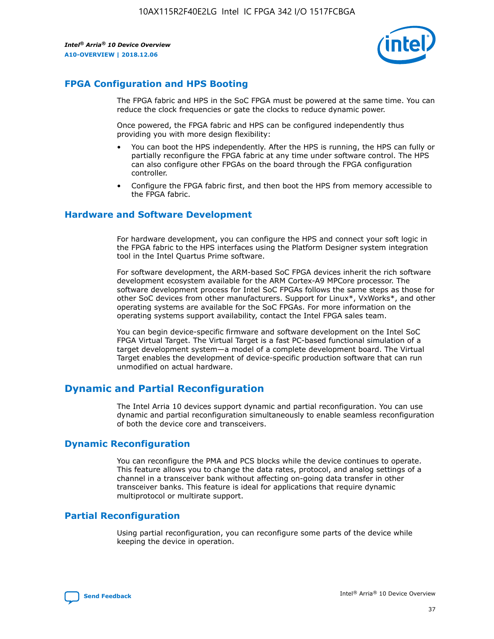

# **FPGA Configuration and HPS Booting**

The FPGA fabric and HPS in the SoC FPGA must be powered at the same time. You can reduce the clock frequencies or gate the clocks to reduce dynamic power.

Once powered, the FPGA fabric and HPS can be configured independently thus providing you with more design flexibility:

- You can boot the HPS independently. After the HPS is running, the HPS can fully or partially reconfigure the FPGA fabric at any time under software control. The HPS can also configure other FPGAs on the board through the FPGA configuration controller.
- Configure the FPGA fabric first, and then boot the HPS from memory accessible to the FPGA fabric.

## **Hardware and Software Development**

For hardware development, you can configure the HPS and connect your soft logic in the FPGA fabric to the HPS interfaces using the Platform Designer system integration tool in the Intel Quartus Prime software.

For software development, the ARM-based SoC FPGA devices inherit the rich software development ecosystem available for the ARM Cortex-A9 MPCore processor. The software development process for Intel SoC FPGAs follows the same steps as those for other SoC devices from other manufacturers. Support for Linux\*, VxWorks\*, and other operating systems are available for the SoC FPGAs. For more information on the operating systems support availability, contact the Intel FPGA sales team.

You can begin device-specific firmware and software development on the Intel SoC FPGA Virtual Target. The Virtual Target is a fast PC-based functional simulation of a target development system—a model of a complete development board. The Virtual Target enables the development of device-specific production software that can run unmodified on actual hardware.

# **Dynamic and Partial Reconfiguration**

The Intel Arria 10 devices support dynamic and partial reconfiguration. You can use dynamic and partial reconfiguration simultaneously to enable seamless reconfiguration of both the device core and transceivers.

# **Dynamic Reconfiguration**

You can reconfigure the PMA and PCS blocks while the device continues to operate. This feature allows you to change the data rates, protocol, and analog settings of a channel in a transceiver bank without affecting on-going data transfer in other transceiver banks. This feature is ideal for applications that require dynamic multiprotocol or multirate support.

# **Partial Reconfiguration**

Using partial reconfiguration, you can reconfigure some parts of the device while keeping the device in operation.

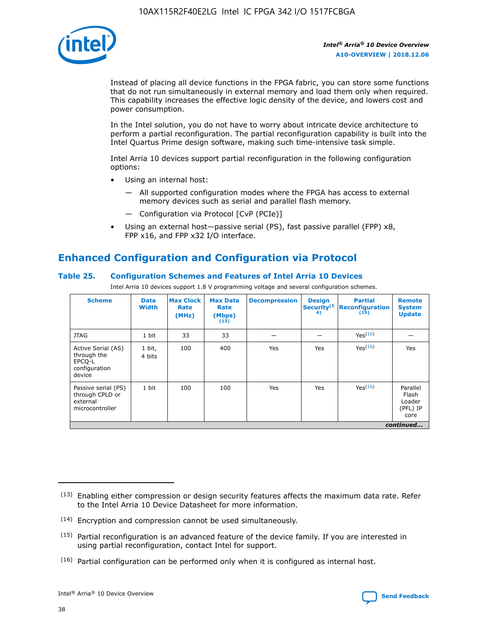

Instead of placing all device functions in the FPGA fabric, you can store some functions that do not run simultaneously in external memory and load them only when required. This capability increases the effective logic density of the device, and lowers cost and power consumption.

In the Intel solution, you do not have to worry about intricate device architecture to perform a partial reconfiguration. The partial reconfiguration capability is built into the Intel Quartus Prime design software, making such time-intensive task simple.

Intel Arria 10 devices support partial reconfiguration in the following configuration options:

- Using an internal host:
	- All supported configuration modes where the FPGA has access to external memory devices such as serial and parallel flash memory.
	- Configuration via Protocol [CvP (PCIe)]
- Using an external host—passive serial (PS), fast passive parallel (FPP) x8, FPP x16, and FPP x32 I/O interface.

# **Enhanced Configuration and Configuration via Protocol**

## **Table 25. Configuration Schemes and Features of Intel Arria 10 Devices**

Intel Arria 10 devices support 1.8 V programming voltage and several configuration schemes.

| <b>Scheme</b>                                                          | <b>Data</b><br><b>Width</b> | <b>Max Clock</b><br>Rate<br>(MHz) | <b>Max Data</b><br>Rate<br>(Mbps)<br>(13) | <b>Decompression</b> | <b>Design</b><br>Security <sup>(1</sup><br>4) | <b>Partial</b><br>Reconfiguration<br>(15) | <b>Remote</b><br><b>System</b><br><b>Update</b> |
|------------------------------------------------------------------------|-----------------------------|-----------------------------------|-------------------------------------------|----------------------|-----------------------------------------------|-------------------------------------------|-------------------------------------------------|
| <b>JTAG</b>                                                            | 1 bit                       | 33                                | 33                                        |                      |                                               | Yes <sup>(16)</sup>                       |                                                 |
| Active Serial (AS)<br>through the<br>EPCO-L<br>configuration<br>device | 1 bit,<br>4 bits            | 100                               | 400                                       | Yes                  | Yes                                           | $Y_{PS}(16)$                              | Yes                                             |
| Passive serial (PS)<br>through CPLD or<br>external<br>microcontroller  | 1 bit                       | 100                               | 100                                       | Yes                  | Yes                                           | Yes(16)                                   | Parallel<br>Flash<br>Loader<br>(PFL) IP<br>core |
|                                                                        | continued                   |                                   |                                           |                      |                                               |                                           |                                                 |

<sup>(13)</sup> Enabling either compression or design security features affects the maximum data rate. Refer to the Intel Arria 10 Device Datasheet for more information.

<sup>(14)</sup> Encryption and compression cannot be used simultaneously.

 $(15)$  Partial reconfiguration is an advanced feature of the device family. If you are interested in using partial reconfiguration, contact Intel for support.

 $(16)$  Partial configuration can be performed only when it is configured as internal host.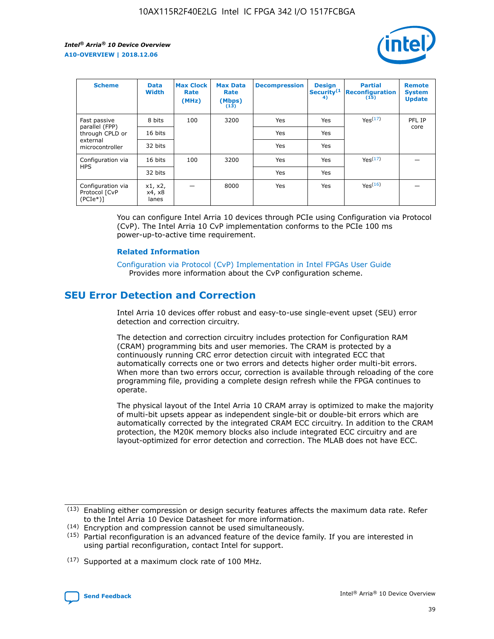

| <b>Scheme</b>                                    | <b>Data</b><br><b>Width</b> | <b>Max Clock</b><br>Rate<br>(MHz) | <b>Max Data</b><br>Rate<br>(Mbps)<br>(13) | <b>Decompression</b> | <b>Design</b><br>Security <sup>(1</sup><br>4) | <b>Partial</b><br><b>Reconfiguration</b><br>(15) | <b>Remote</b><br><b>System</b><br><b>Update</b> |
|--------------------------------------------------|-----------------------------|-----------------------------------|-------------------------------------------|----------------------|-----------------------------------------------|--------------------------------------------------|-------------------------------------------------|
| Fast passive                                     | 8 bits                      | 100                               | 3200                                      | Yes                  | Yes                                           | Yes(17)                                          | PFL IP                                          |
| parallel (FPP)<br>through CPLD or                | 16 bits                     |                                   |                                           | Yes                  | Yes                                           |                                                  | core                                            |
| external<br>microcontroller                      | 32 bits                     |                                   |                                           | Yes                  | Yes                                           |                                                  |                                                 |
| Configuration via                                | 16 bits                     | 100                               | 3200                                      | Yes                  | Yes                                           | Yes <sup>(17)</sup>                              |                                                 |
| <b>HPS</b>                                       | 32 bits                     |                                   |                                           | Yes                  | Yes                                           |                                                  |                                                 |
| Configuration via<br>Protocol [CvP<br>$(PCIe^*)$ | x1, x2,<br>x4, x8<br>lanes  |                                   | 8000                                      | Yes                  | Yes                                           | Yes(16)                                          |                                                 |

You can configure Intel Arria 10 devices through PCIe using Configuration via Protocol (CvP). The Intel Arria 10 CvP implementation conforms to the PCIe 100 ms power-up-to-active time requirement.

#### **Related Information**

[Configuration via Protocol \(CvP\) Implementation in Intel FPGAs User Guide](https://www.intel.com/content/www/us/en/programmable/documentation/dsu1441819344145.html#dsu1442269728522) Provides more information about the CvP configuration scheme.

# **SEU Error Detection and Correction**

Intel Arria 10 devices offer robust and easy-to-use single-event upset (SEU) error detection and correction circuitry.

The detection and correction circuitry includes protection for Configuration RAM (CRAM) programming bits and user memories. The CRAM is protected by a continuously running CRC error detection circuit with integrated ECC that automatically corrects one or two errors and detects higher order multi-bit errors. When more than two errors occur, correction is available through reloading of the core programming file, providing a complete design refresh while the FPGA continues to operate.

The physical layout of the Intel Arria 10 CRAM array is optimized to make the majority of multi-bit upsets appear as independent single-bit or double-bit errors which are automatically corrected by the integrated CRAM ECC circuitry. In addition to the CRAM protection, the M20K memory blocks also include integrated ECC circuitry and are layout-optimized for error detection and correction. The MLAB does not have ECC.

<sup>(17)</sup> Supported at a maximum clock rate of 100 MHz.



 $(13)$  Enabling either compression or design security features affects the maximum data rate. Refer to the Intel Arria 10 Device Datasheet for more information.

<sup>(14)</sup> Encryption and compression cannot be used simultaneously.

 $(15)$  Partial reconfiguration is an advanced feature of the device family. If you are interested in using partial reconfiguration, contact Intel for support.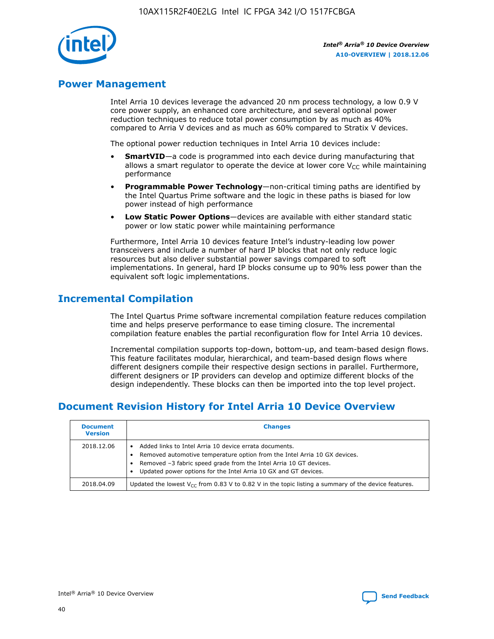

# **Power Management**

Intel Arria 10 devices leverage the advanced 20 nm process technology, a low 0.9 V core power supply, an enhanced core architecture, and several optional power reduction techniques to reduce total power consumption by as much as 40% compared to Arria V devices and as much as 60% compared to Stratix V devices.

The optional power reduction techniques in Intel Arria 10 devices include:

- **SmartVID**—a code is programmed into each device during manufacturing that allows a smart regulator to operate the device at lower core  $V_{CC}$  while maintaining performance
- **Programmable Power Technology**—non-critical timing paths are identified by the Intel Quartus Prime software and the logic in these paths is biased for low power instead of high performance
- **Low Static Power Options**—devices are available with either standard static power or low static power while maintaining performance

Furthermore, Intel Arria 10 devices feature Intel's industry-leading low power transceivers and include a number of hard IP blocks that not only reduce logic resources but also deliver substantial power savings compared to soft implementations. In general, hard IP blocks consume up to 90% less power than the equivalent soft logic implementations.

# **Incremental Compilation**

The Intel Quartus Prime software incremental compilation feature reduces compilation time and helps preserve performance to ease timing closure. The incremental compilation feature enables the partial reconfiguration flow for Intel Arria 10 devices.

Incremental compilation supports top-down, bottom-up, and team-based design flows. This feature facilitates modular, hierarchical, and team-based design flows where different designers compile their respective design sections in parallel. Furthermore, different designers or IP providers can develop and optimize different blocks of the design independently. These blocks can then be imported into the top level project.

# **Document Revision History for Intel Arria 10 Device Overview**

| <b>Document</b><br><b>Version</b> | <b>Changes</b>                                                                                                                                                                                                                                                              |
|-----------------------------------|-----------------------------------------------------------------------------------------------------------------------------------------------------------------------------------------------------------------------------------------------------------------------------|
| 2018.12.06                        | Added links to Intel Arria 10 device errata documents.<br>Removed automotive temperature option from the Intel Arria 10 GX devices.<br>Removed -3 fabric speed grade from the Intel Arria 10 GT devices.<br>Updated power options for the Intel Arria 10 GX and GT devices. |
| 2018.04.09                        | Updated the lowest $V_{CC}$ from 0.83 V to 0.82 V in the topic listing a summary of the device features.                                                                                                                                                                    |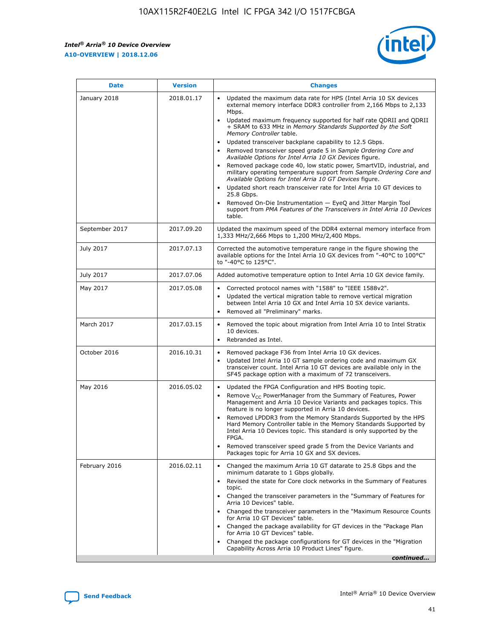*Intel® Arria® 10 Device Overview* **A10-OVERVIEW | 2018.12.06**



| <b>Date</b>    | <b>Version</b> | <b>Changes</b>                                                                                                                                                                                                                                                                                                                                                                                                                                                                                                                                                                                                                                                                                                                                                                                                                                                                                                                                                                         |
|----------------|----------------|----------------------------------------------------------------------------------------------------------------------------------------------------------------------------------------------------------------------------------------------------------------------------------------------------------------------------------------------------------------------------------------------------------------------------------------------------------------------------------------------------------------------------------------------------------------------------------------------------------------------------------------------------------------------------------------------------------------------------------------------------------------------------------------------------------------------------------------------------------------------------------------------------------------------------------------------------------------------------------------|
| January 2018   | 2018.01.17     | Updated the maximum data rate for HPS (Intel Arria 10 SX devices<br>external memory interface DDR3 controller from 2,166 Mbps to 2,133<br>Mbps.<br>Updated maximum frequency supported for half rate QDRII and QDRII<br>+ SRAM to 633 MHz in Memory Standards Supported by the Soft<br>Memory Controller table.<br>Updated transceiver backplane capability to 12.5 Gbps.<br>$\bullet$<br>Removed transceiver speed grade 5 in Sample Ordering Core and<br>$\bullet$<br>Available Options for Intel Arria 10 GX Devices figure.<br>Removed package code 40, low static power, SmartVID, industrial, and<br>military operating temperature support from Sample Ordering Core and<br>Available Options for Intel Arria 10 GT Devices figure.<br>Updated short reach transceiver rate for Intel Arria 10 GT devices to<br>25.8 Gbps.<br>Removed On-Die Instrumentation - EyeQ and Jitter Margin Tool<br>support from PMA Features of the Transceivers in Intel Arria 10 Devices<br>table. |
| September 2017 | 2017.09.20     | Updated the maximum speed of the DDR4 external memory interface from<br>1,333 MHz/2,666 Mbps to 1,200 MHz/2,400 Mbps.                                                                                                                                                                                                                                                                                                                                                                                                                                                                                                                                                                                                                                                                                                                                                                                                                                                                  |
| July 2017      | 2017.07.13     | Corrected the automotive temperature range in the figure showing the<br>available options for the Intel Arria 10 GX devices from "-40°C to 100°C"<br>to "-40°C to 125°C".                                                                                                                                                                                                                                                                                                                                                                                                                                                                                                                                                                                                                                                                                                                                                                                                              |
| July 2017      | 2017.07.06     | Added automotive temperature option to Intel Arria 10 GX device family.                                                                                                                                                                                                                                                                                                                                                                                                                                                                                                                                                                                                                                                                                                                                                                                                                                                                                                                |
| May 2017       | 2017.05.08     | Corrected protocol names with "1588" to "IEEE 1588v2".<br>$\bullet$<br>Updated the vertical migration table to remove vertical migration<br>$\bullet$<br>between Intel Arria 10 GX and Intel Arria 10 SX device variants.<br>Removed all "Preliminary" marks.<br>$\bullet$                                                                                                                                                                                                                                                                                                                                                                                                                                                                                                                                                                                                                                                                                                             |
| March 2017     | 2017.03.15     | Removed the topic about migration from Intel Arria 10 to Intel Stratix<br>$\bullet$<br>10 devices.<br>Rebranded as Intel.<br>$\bullet$                                                                                                                                                                                                                                                                                                                                                                                                                                                                                                                                                                                                                                                                                                                                                                                                                                                 |
| October 2016   | 2016.10.31     | Removed package F36 from Intel Arria 10 GX devices.<br>Updated Intel Arria 10 GT sample ordering code and maximum GX<br>$\bullet$<br>transceiver count. Intel Arria 10 GT devices are available only in the<br>SF45 package option with a maximum of 72 transceivers.                                                                                                                                                                                                                                                                                                                                                                                                                                                                                                                                                                                                                                                                                                                  |
| May 2016       | 2016.05.02     | Updated the FPGA Configuration and HPS Booting topic.<br>$\bullet$<br>Remove V <sub>CC</sub> PowerManager from the Summary of Features, Power<br>Management and Arria 10 Device Variants and packages topics. This<br>feature is no longer supported in Arria 10 devices.<br>Removed LPDDR3 from the Memory Standards Supported by the HPS<br>Hard Memory Controller table in the Memory Standards Supported by<br>Intel Arria 10 Devices topic. This standard is only supported by the<br>FPGA.<br>Removed transceiver speed grade 5 from the Device Variants and<br>Packages topic for Arria 10 GX and SX devices.                                                                                                                                                                                                                                                                                                                                                                   |
| February 2016  | 2016.02.11     | Changed the maximum Arria 10 GT datarate to 25.8 Gbps and the<br>minimum datarate to 1 Gbps globally.<br>Revised the state for Core clock networks in the Summary of Features<br>$\bullet$<br>topic.<br>Changed the transceiver parameters in the "Summary of Features for<br>$\bullet$<br>Arria 10 Devices" table.<br>• Changed the transceiver parameters in the "Maximum Resource Counts<br>for Arria 10 GT Devices" table.<br>Changed the package availability for GT devices in the "Package Plan<br>for Arria 10 GT Devices" table.<br>Changed the package configurations for GT devices in the "Migration"<br>Capability Across Arria 10 Product Lines" figure.<br>continued                                                                                                                                                                                                                                                                                                    |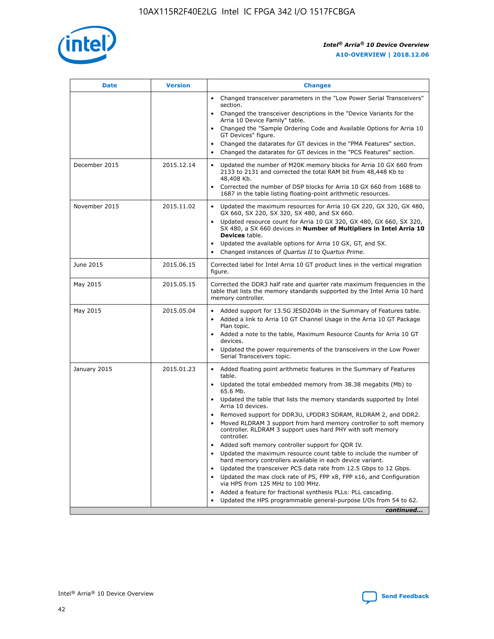

| <b>Date</b>   | <b>Version</b> | <b>Changes</b>                                                                                                                                                               |
|---------------|----------------|------------------------------------------------------------------------------------------------------------------------------------------------------------------------------|
|               |                | • Changed transceiver parameters in the "Low Power Serial Transceivers"<br>section.                                                                                          |
|               |                | • Changed the transceiver descriptions in the "Device Variants for the<br>Arria 10 Device Family" table.                                                                     |
|               |                | Changed the "Sample Ordering Code and Available Options for Arria 10<br>$\bullet$<br>GT Devices" figure.                                                                     |
|               |                | Changed the datarates for GT devices in the "PMA Features" section.                                                                                                          |
|               |                | Changed the datarates for GT devices in the "PCS Features" section.<br>$\bullet$                                                                                             |
| December 2015 | 2015.12.14     | Updated the number of M20K memory blocks for Arria 10 GX 660 from<br>2133 to 2131 and corrected the total RAM bit from 48,448 Kb to<br>48,408 Kb.                            |
|               |                | Corrected the number of DSP blocks for Arria 10 GX 660 from 1688 to<br>1687 in the table listing floating-point arithmetic resources.                                        |
| November 2015 | 2015.11.02     | Updated the maximum resources for Arria 10 GX 220, GX 320, GX 480,<br>$\bullet$<br>GX 660, SX 220, SX 320, SX 480, and SX 660.                                               |
|               |                | • Updated resource count for Arria 10 GX 320, GX 480, GX 660, SX 320,<br>SX 480, a SX 660 devices in Number of Multipliers in Intel Arria 10<br><b>Devices</b> table.        |
|               |                | Updated the available options for Arria 10 GX, GT, and SX.                                                                                                                   |
|               |                | Changed instances of Quartus II to Quartus Prime.<br>$\bullet$                                                                                                               |
| June 2015     | 2015.06.15     | Corrected label for Intel Arria 10 GT product lines in the vertical migration<br>figure.                                                                                     |
| May 2015      | 2015.05.15     | Corrected the DDR3 half rate and quarter rate maximum frequencies in the<br>table that lists the memory standards supported by the Intel Arria 10 hard<br>memory controller. |
| May 2015      | 2015.05.04     | • Added support for 13.5G JESD204b in the Summary of Features table.                                                                                                         |
|               |                | • Added a link to Arria 10 GT Channel Usage in the Arria 10 GT Package<br>Plan topic.                                                                                        |
|               |                | • Added a note to the table, Maximum Resource Counts for Arria 10 GT<br>devices.                                                                                             |
|               |                | • Updated the power requirements of the transceivers in the Low Power<br>Serial Transceivers topic.                                                                          |
| January 2015  | 2015.01.23     | • Added floating point arithmetic features in the Summary of Features<br>table.                                                                                              |
|               |                | • Updated the total embedded memory from 38.38 megabits (Mb) to<br>65.6 Mb.                                                                                                  |
|               |                | • Updated the table that lists the memory standards supported by Intel<br>Arria 10 devices.                                                                                  |
|               |                | Removed support for DDR3U, LPDDR3 SDRAM, RLDRAM 2, and DDR2.                                                                                                                 |
|               |                | Moved RLDRAM 3 support from hard memory controller to soft memory<br>controller. RLDRAM 3 support uses hard PHY with soft memory<br>controller.                              |
|               |                | Added soft memory controller support for QDR IV.<br>٠                                                                                                                        |
|               |                | Updated the maximum resource count table to include the number of<br>hard memory controllers available in each device variant.                                               |
|               |                | Updated the transceiver PCS data rate from 12.5 Gbps to 12 Gbps.<br>$\bullet$                                                                                                |
|               |                | Updated the max clock rate of PS, FPP x8, FPP x16, and Configuration<br>via HPS from 125 MHz to 100 MHz.                                                                     |
|               |                | Added a feature for fractional synthesis PLLs: PLL cascading.                                                                                                                |
|               |                | Updated the HPS programmable general-purpose I/Os from 54 to 62.<br>$\bullet$                                                                                                |
|               |                | continued                                                                                                                                                                    |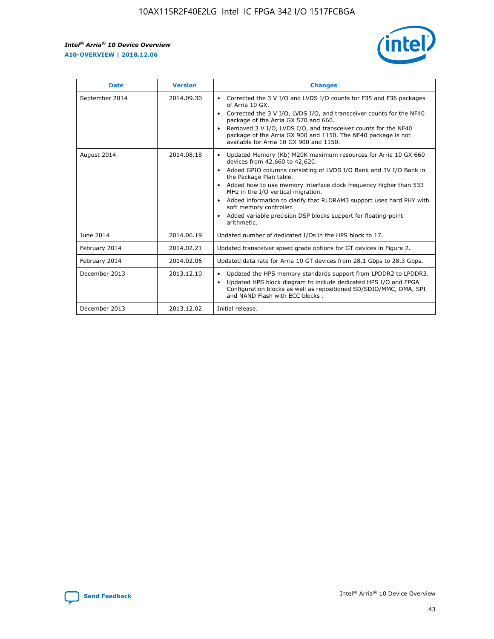r



| <b>Date</b>    | <b>Version</b> | <b>Changes</b>                                                                                                                                                                                                                                                                                                                                                                                                                                                                                                                                      |
|----------------|----------------|-----------------------------------------------------------------------------------------------------------------------------------------------------------------------------------------------------------------------------------------------------------------------------------------------------------------------------------------------------------------------------------------------------------------------------------------------------------------------------------------------------------------------------------------------------|
| September 2014 | 2014.09.30     | Corrected the 3 V I/O and LVDS I/O counts for F35 and F36 packages<br>$\bullet$<br>of Arria 10 GX.<br>Corrected the 3 V I/O, LVDS I/O, and transceiver counts for the NF40<br>$\bullet$<br>package of the Arria GX 570 and 660.<br>Removed 3 V I/O, LVDS I/O, and transceiver counts for the NF40<br>$\bullet$<br>package of the Arria GX 900 and 1150. The NF40 package is not<br>available for Arria 10 GX 900 and 1150.                                                                                                                          |
| August 2014    | 2014.08.18     | Updated Memory (Kb) M20K maximum resources for Arria 10 GX 660<br>devices from 42,660 to 42,620.<br>Added GPIO columns consisting of LVDS I/O Bank and 3V I/O Bank in<br>$\bullet$<br>the Package Plan table.<br>Added how to use memory interface clock frequency higher than 533<br>$\bullet$<br>MHz in the I/O vertical migration.<br>Added information to clarify that RLDRAM3 support uses hard PHY with<br>$\bullet$<br>soft memory controller.<br>Added variable precision DSP blocks support for floating-point<br>$\bullet$<br>arithmetic. |
| June 2014      | 2014.06.19     | Updated number of dedicated I/Os in the HPS block to 17.                                                                                                                                                                                                                                                                                                                                                                                                                                                                                            |
| February 2014  | 2014.02.21     | Updated transceiver speed grade options for GT devices in Figure 2.                                                                                                                                                                                                                                                                                                                                                                                                                                                                                 |
| February 2014  | 2014.02.06     | Updated data rate for Arria 10 GT devices from 28.1 Gbps to 28.3 Gbps.                                                                                                                                                                                                                                                                                                                                                                                                                                                                              |
| December 2013  | 2013.12.10     | Updated the HPS memory standards support from LPDDR2 to LPDDR3.<br>Updated HPS block diagram to include dedicated HPS I/O and FPGA<br>$\bullet$<br>Configuration blocks as well as repositioned SD/SDIO/MMC, DMA, SPI<br>and NAND Flash with ECC blocks.                                                                                                                                                                                                                                                                                            |
| December 2013  | 2013.12.02     | Initial release.                                                                                                                                                                                                                                                                                                                                                                                                                                                                                                                                    |